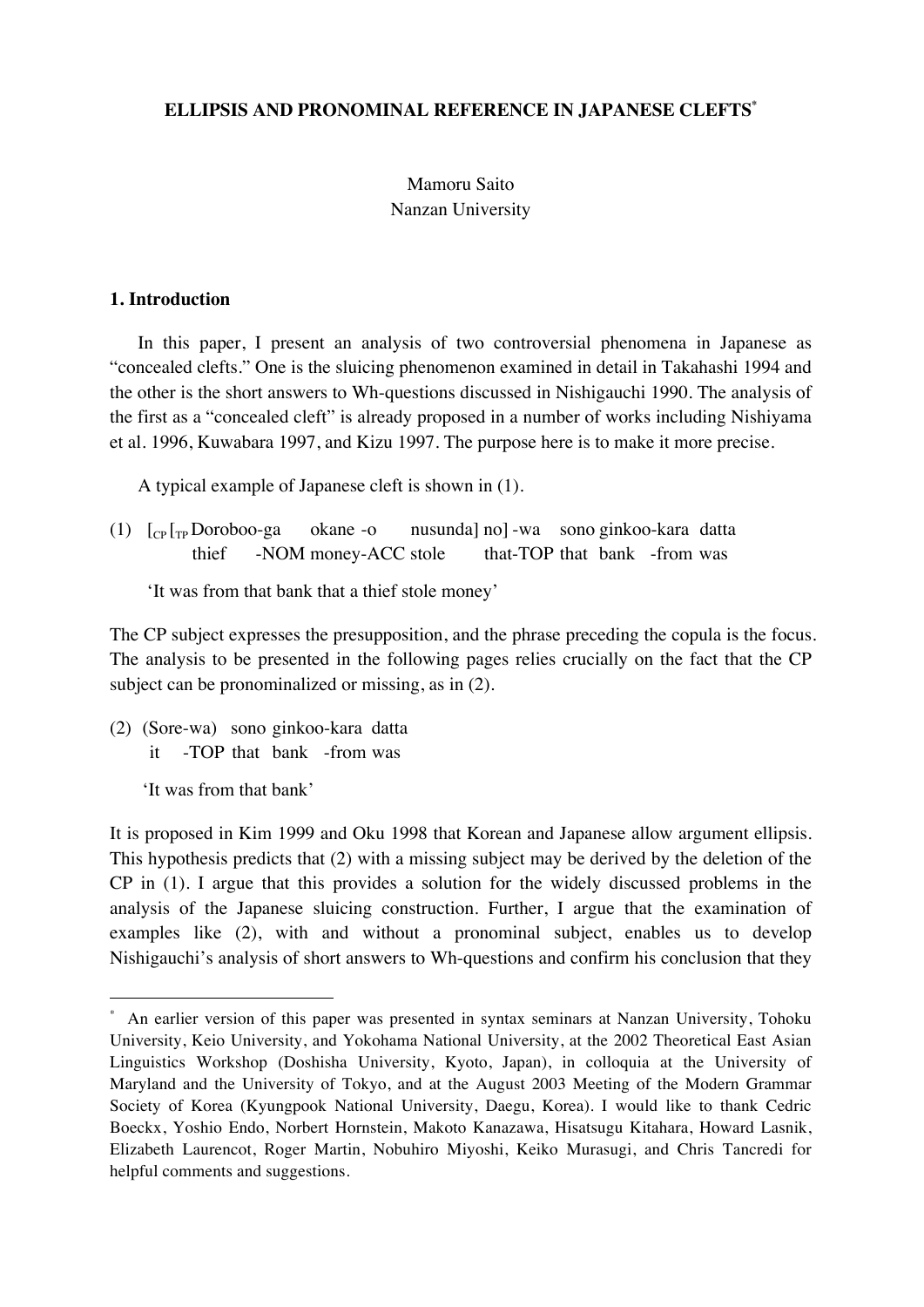### **ELLIPSIS AND PRONOMINAL REFERENCE IN JAPANESE CLEFTS\***

# Mamoru Saito Nanzan University

### **1. Introduction**

In this paper, I present an analysis of two controversial phenomena in Japanese as "concealed clefts." One is the sluicing phenomenon examined in detail in Takahashi 1994 and the other is the short answers to Wh-questions discussed in Nishigauchi 1990. The analysis of the first as a "concealed cleft" is already proposed in a number of works including Nishiyama et al. 1996, Kuwabara 1997, and Kizu 1997. The purpose here is to make it more precise.

A typical example of Japanese cleft is shown in (1).

(1)  $\lceil \frac{C_P}{T_P} \rceil$  Doroboo-ga okane -o nusunda] no] -wa sono ginkoo-kara datta thief -NOM money-ACC stole that-TOP that bank -from was

'It was from that bank that a thief stole money'

The CP subject expresses the presupposition, and the phrase preceding the copula is the focus. The analysis to be presented in the following pages relies crucially on the fact that the CP subject can be pronominalized or missing, as in (2).

(2) (Sore-wa) sono ginkoo-kara datta it -TOP that bank -from was

'It was from that bank'

It is proposed in Kim 1999 and Oku 1998 that Korean and Japanese allow argument ellipsis. This hypothesis predicts that (2) with a missing subject may be derived by the deletion of the CP in (1). I argue that this provides a solution for the widely discussed problems in the analysis of the Japanese sluicing construction. Further, I argue that the examination of examples like (2), with and without a pronominal subject, enables us to develop Nishigauchi's analysis of short answers to Wh-questions and confirm his conclusion that they

 <sup>\*</sup> An earlier version of this paper was presented in syntax seminars at Nanzan University, Tohoku University, Keio University, and Yokohama National University, at the 2002 Theoretical East Asian Linguistics Workshop (Doshisha University, Kyoto, Japan), in colloquia at the University of Maryland and the University of Tokyo, and at the August 2003 Meeting of the Modern Grammar Society of Korea (Kyungpook National University, Daegu, Korea). I would like to thank Cedric Boeckx, Yoshio Endo, Norbert Hornstein, Makoto Kanazawa, Hisatsugu Kitahara, Howard Lasnik, Elizabeth Laurencot, Roger Martin, Nobuhiro Miyoshi, Keiko Murasugi, and Chris Tancredi for helpful comments and suggestions.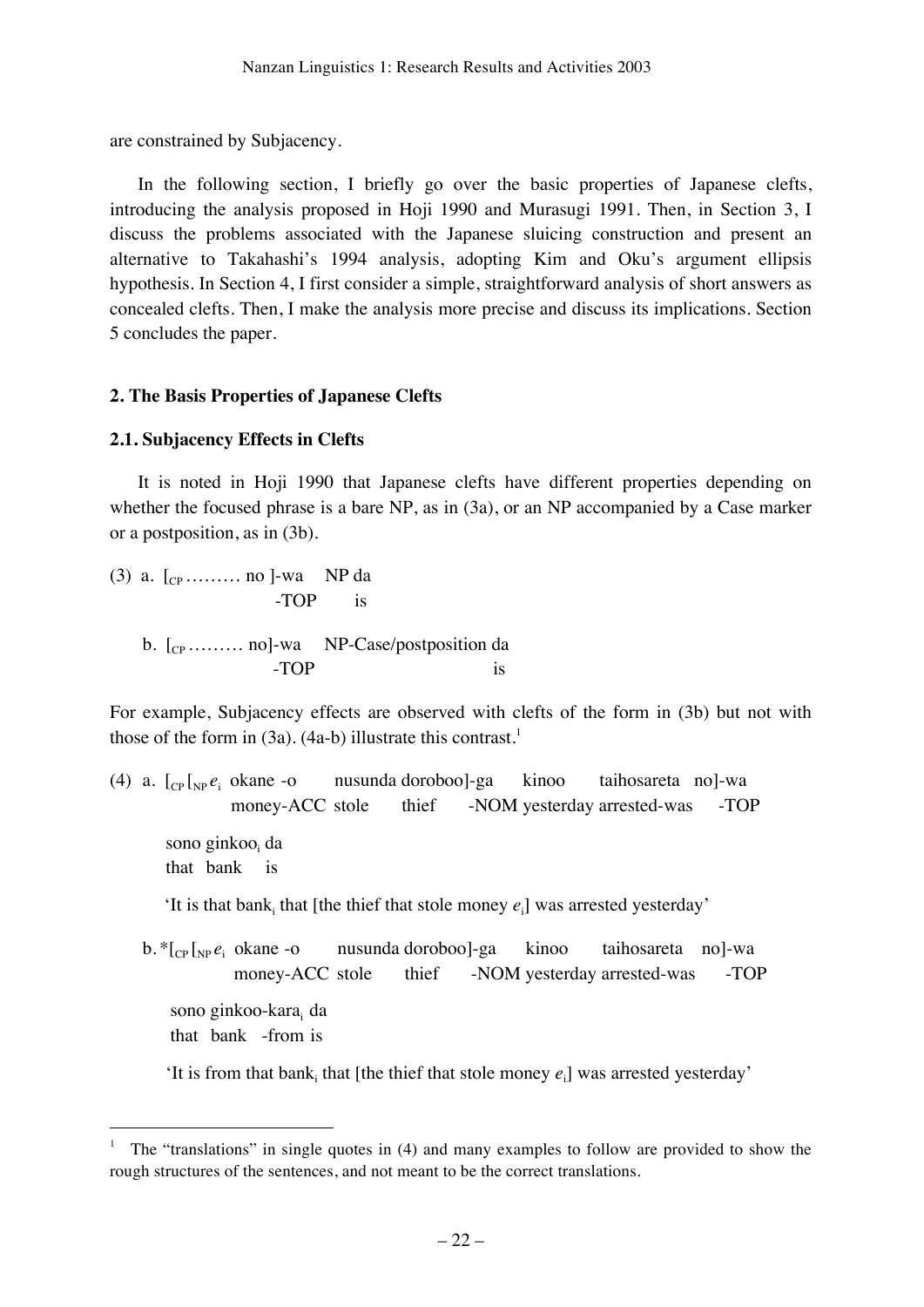are constrained by Subjacency.

In the following section, I briefly go over the basic properties of Japanese clefts, introducing the analysis proposed in Hoji 1990 and Murasugi 1991. Then, in Section 3, I discuss the problems associated with the Japanese sluicing construction and present an alternative to Takahashi's 1994 analysis, adopting Kim and Oku's argument ellipsis hypothesis. In Section 4, I first consider a simple, straightforward analysis of short answers as concealed clefts. Then, I make the analysis more precise and discuss its implications. Section 5 concludes the paper.

# **2. The Basis Properties of Japanese Clefts**

# **2.1. Subjacency Effects in Clefts**

It is noted in Hoji 1990 that Japanese clefts have different properties depending on whether the focused phrase is a bare NP, as in (3a), or an NP accompanied by a Case marker or a postposition, as in (3b).

(3) a.  $[_{CP}$  ……… no ]-wa NP da -TOP is b.  $[$ <sub>CP</sub> ……… no]-wa NP-Case/postposition da -TOP is

For example, Subjacency effects are observed with clefts of the form in (3b) but not with those of the form in  $(3a)$ .  $(4a-b)$  illustrate this contrast.<sup>1</sup>

(4) a.  $\left[_{CP}\right]_{NP}e_i$  okane -o nusunda doroboo]-ga kinoo taihosareta no]-wa money-ACC stole thief -NOM yesterday arrested-was -TOP sono ginkoo<sub>i</sub> da that bank is 'It is that bank<sub>i</sub> that [the thief that stole money  $e_i$ ] was arrested yesterday'  $b.*|_{CP}|_{NP} e_i$  okane -o nusunda doroboo]-ga kinoo taihosareta no]-wa money-ACC stole thief -NOM yesterday arrested-was -TOP sono ginkoo-kara<sub>i</sub> da that bank -from is

'It is from that bank<sub>i</sub> that [the thief that stole money  $e_i$ ] was arrested yesterday'

 <sup>1</sup> The "translations" in single quotes in (4) and many examples to follow are provided to show the rough structures of the sentences, and not meant to be the correct translations.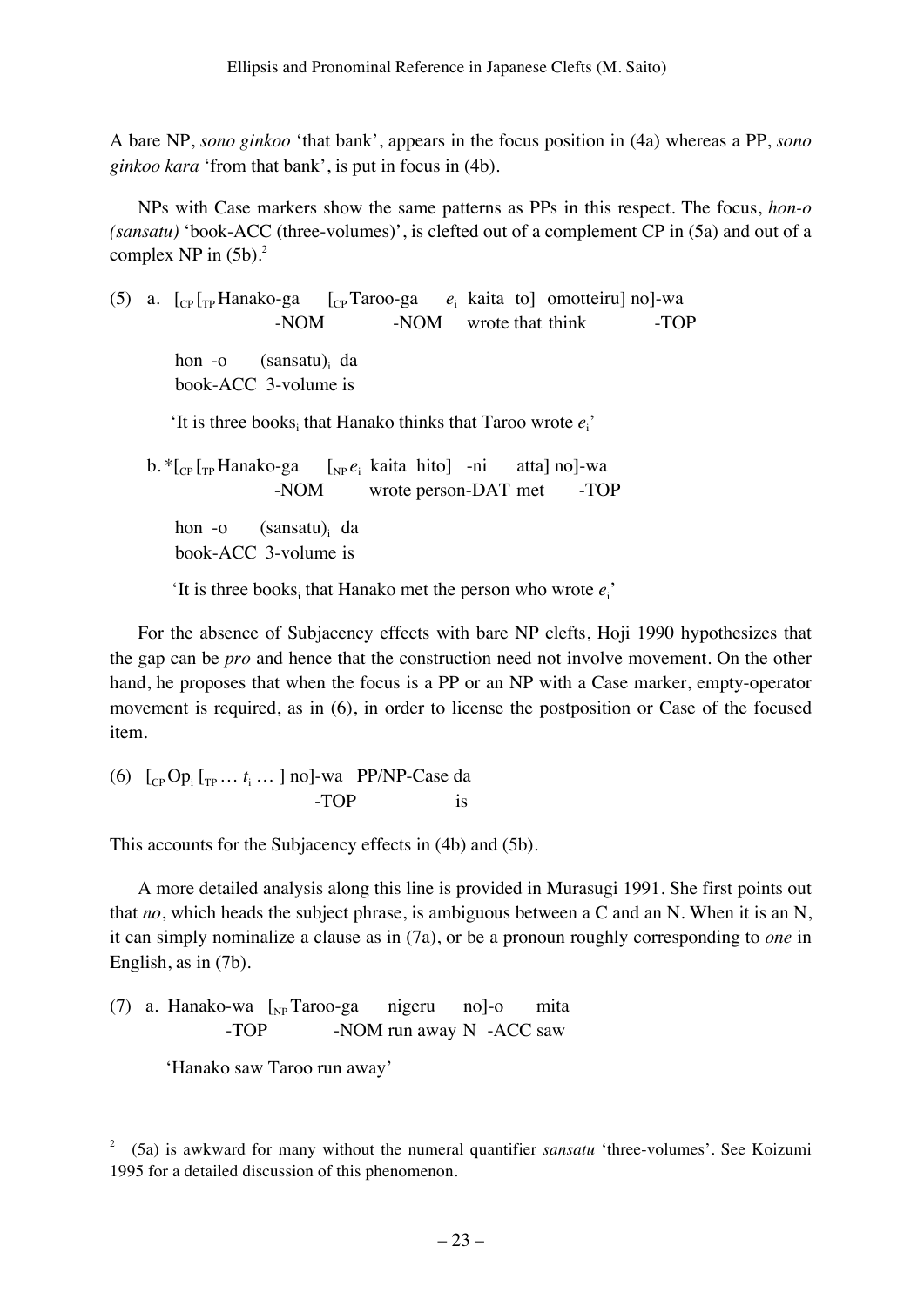A bare NP, *sono ginkoo* 'that bank', appears in the focus position in (4a) whereas a PP, *sono ginkoo kara* 'from that bank', is put in focus in (4b).

NPs with Case markers show the same patterns as PPs in this respect. The focus, *hon-o (sansatu)* 'book-ACC (three-volumes)', is clefted out of a complement CP in (5a) and out of a complex NP in  $(5b)$ .<sup>2</sup>

(5) a.  $\left[\begin{matrix}C_{\text{P}} \end{matrix}\right]_{\text{TP}}$ Hanako-ga  $\left[\begin{matrix}C_{\text{P}} \end{matrix}\right]_{\text{T} \text{R} \text{roo-ga}}$   $e_i$  kaita to motteiru no -NOM -NOM wrote that think -TOP hon -o  $(sansatu)_i$  da book-ACC 3-volume is 'It is three books<sub>i</sub> that Hanako thinks that Taroo wrote  $e_i$ ' b. \* [<sub>CP</sub> [<sub>TP</sub> Hanako-ga [<sub>NP</sub> *e*<sub>i</sub> kaita hito] -ni atta] no]-wa -NOM wrote person-DAT met -TOP hon -o  $(sansatu)$ <sub>i</sub> da

book-ACC 3-volume is

'It is three books<sub>i</sub> that Hanako met the person who wrote  $e_i$ '

For the absence of Subjacency effects with bare NP clefts, Hoji 1990 hypothesizes that the gap can be *pro* and hence that the construction need not involve movement. On the other hand, he proposes that when the focus is a PP or an NP with a Case marker, empty-operator movement is required, as in (6), in order to license the postposition or Case of the focused item.

(6)  $\left[\begin{array}{ccc}C & C \ C \end{array} \right]$   $\left[\begin{array}{ccc}C & C \ D \end{array} \right]$   $\left[\begin{array}{ccc}C & C \ D \end{array} \right]$   $\left[\begin{array}{ccc}C & C \ D \end{array} \right]$   $\left[\begin{array}{ccc}C & C \ D \end{array} \right]$   $\left[\begin{array}{ccc}C & C \ D \end{array} \right]$   $\left[\begin{array}{ccc}C & C \ D \end{array} \right]$   $\left[\begin{array}{ccc}C & C \ D \end{array} \right]$   $\left[\begin{array}{ccc}C & C \ D \end$ -TOP is

This accounts for the Subjacency effects in (4b) and (5b).

A more detailed analysis along this line is provided in Murasugi 1991. She first points out that *no*, which heads the subject phrase, is ambiguous between a C and an N. When it is an N, it can simply nominalize a clause as in (7a), or be a pronoun roughly corresponding to *one* in English, as in (7b).

(7) a. Hanako-wa  $\left[\begin{matrix}N_P & \end{matrix}\right]$  Taroo-ga nigeru no]-o mita -TOP -NOM run away N -ACC saw

'Hanako saw Taroo run away'

 <sup>2 (5</sup>a) is awkward for many without the numeral quantifier *sansatu* 'three-volumes'. See Koizumi 1995 for a detailed discussion of this phenomenon.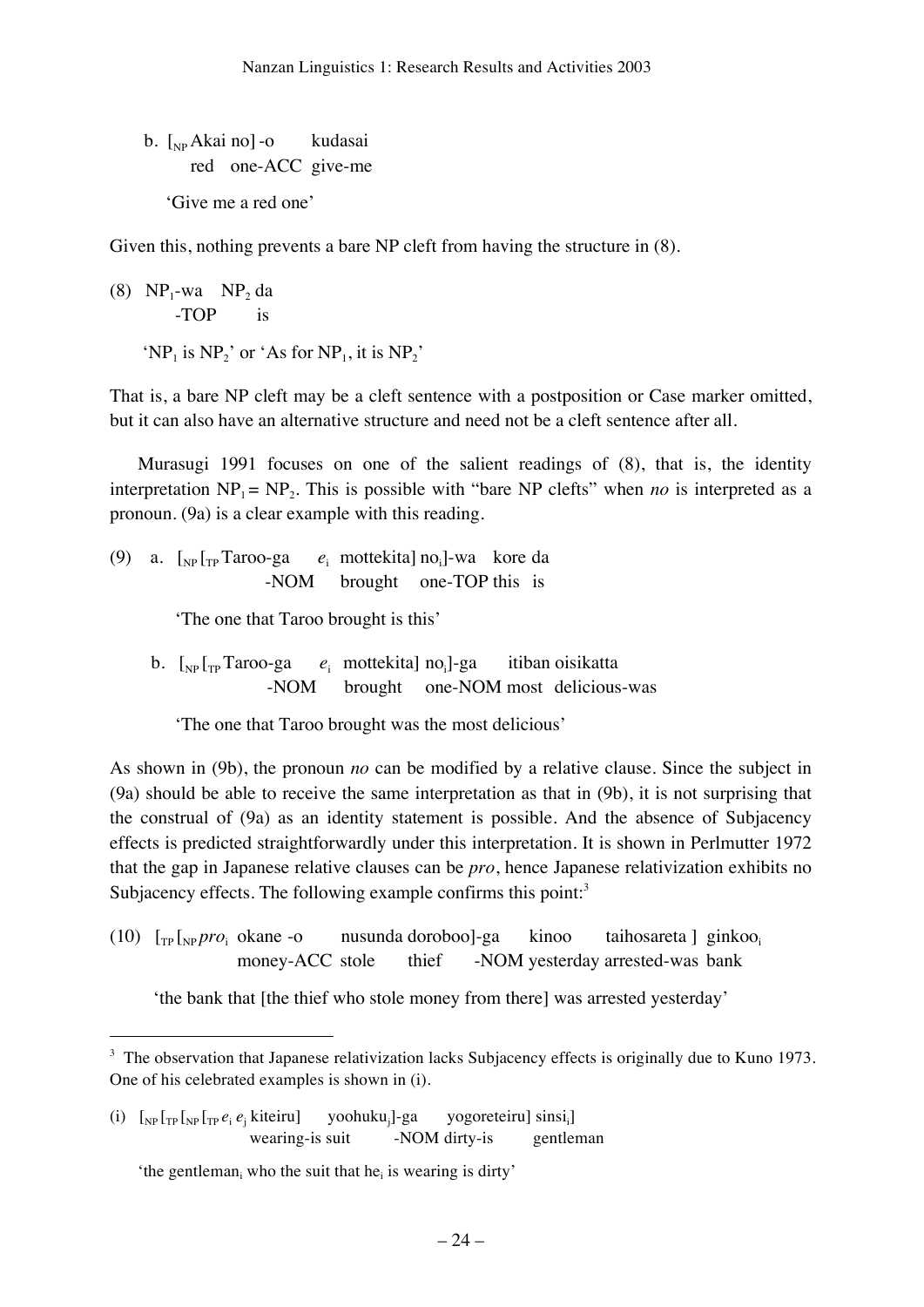b.  $\lceil_{NP} Akai \rceil$ -o kudasai red one-ACC give-me 'Give me a red one'

Given this, nothing prevents a bare NP cleft from having the structure in (8).

(8)  $NP_1$ -wa  $NP_2$  da -TOP is 'NP<sub>1</sub> is NP<sub>2</sub>' or 'As for NP<sub>1</sub>, it is NP<sub>2</sub>'

That is, a bare NP cleft may be a cleft sentence with a postposition or Case marker omitted, but it can also have an alternative structure and need not be a cleft sentence after all.

Murasugi 1991 focuses on one of the salient readings of (8), that is, the identity interpretation  $NP_1 = NP_2$ . This is possible with "bare NP clefts" when *no* is interpreted as a pronoun. (9a) is a clear example with this reading.

(9) a.  $\int_{NP} \int_{TP}$  Taroo-ga  $e_i$  mottekita] no<sub>i</sub>]-wa kore da -NOM brought one-TOP this is

'The one that Taroo brought is this'

b.  $\int_{NP} \int_{TP}$  Taroo-ga  $e_i$  mottekita] no<sub>i</sub>]-ga itiban oisikatta -NOM brought one-NOM most delicious-was

'The one that Taroo brought was the most delicious'

As shown in (9b), the pronoun *no* can be modified by a relative clause. Since the subject in (9a) should be able to receive the same interpretation as that in (9b), it is not surprising that the construal of (9a) as an identity statement is possible. And the absence of Subjacency effects is predicted straightforwardly under this interpretation. It is shown in Perlmutter 1972 that the gap in Japanese relative clauses can be *pro*, hence Japanese relativization exhibits no Subjacency effects. The following example confirms this point: $3$ 

 $(10)$   $\left[\text{TP} \left[\text{NP} \, \text{pro}_i \right]$  okane -o nusunda doroboo]-ga kinoo taihosareta ] ginkoo. money-ACC stole thief -NOM yesterday arrested-was bank

'the bank that [the thief who stole money from there] was arrested yesterday'

(i)  $\left[\int_{NP} \left[\int_{TP} \left[\int_{TP} e_i e_i \right] \right] \right]$ yoohuku $_i$ ]-ga ]-ga yogoreteiru] sinsi<sub>i</sub>] wearing-is suit -NOM dirty-is gentleman

<sup>&</sup>lt;sup>3</sup> The observation that Japanese relativization lacks Subjacency effects is originally due to Kuno 1973. One of his celebrated examples is shown in (i).

<sup>&#</sup>x27;the gentleman<sub>i</sub> who the suit that he<sub>i</sub> is wearing is dirty'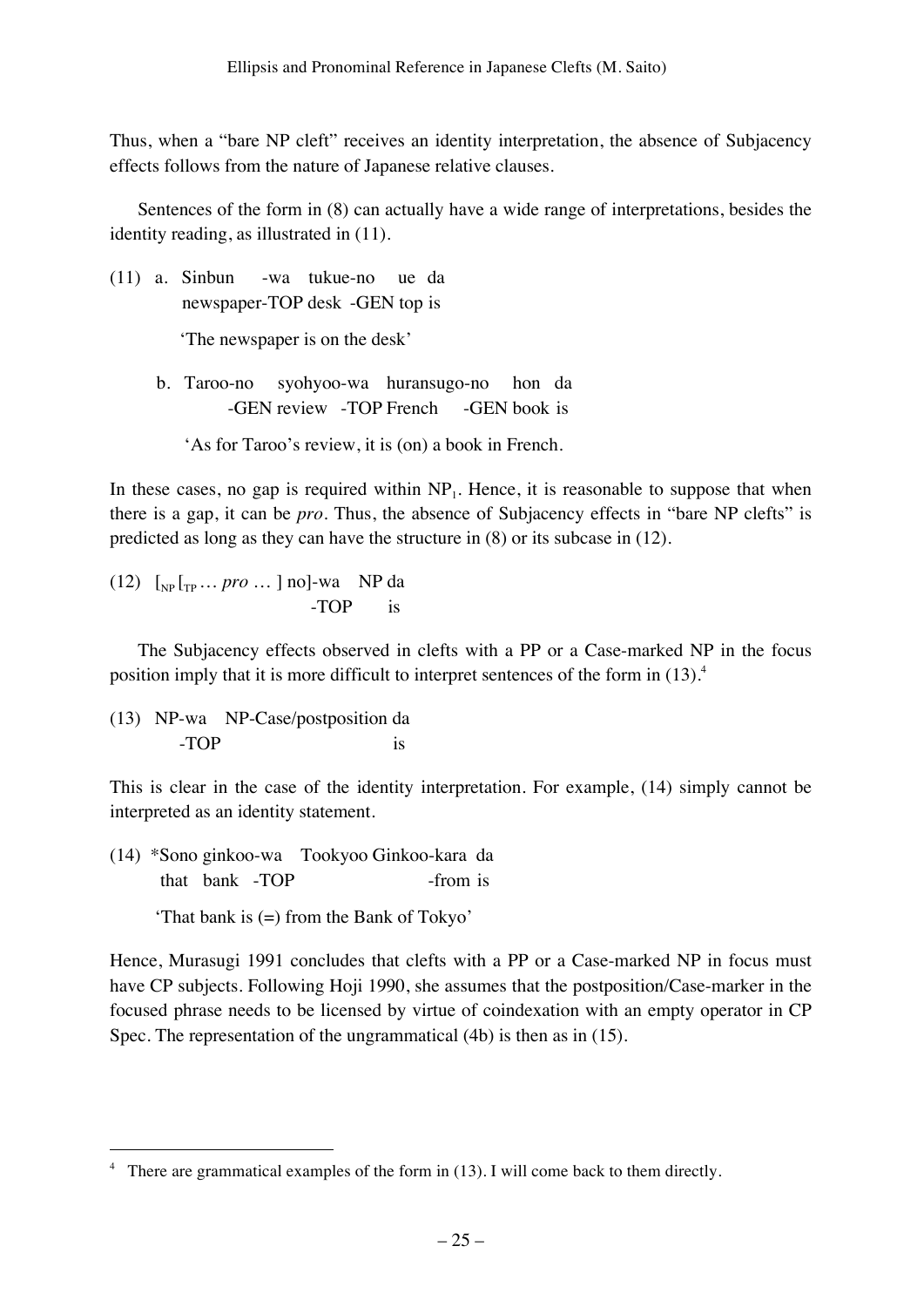Thus, when a "bare NP cleft" receives an identity interpretation, the absence of Subjacency effects follows from the nature of Japanese relative clauses.

Sentences of the form in (8) can actually have a wide range of interpretations, besides the identity reading, as illustrated in (11).

(11) a. Sinbun -wa tukue-no ue da newspaper-TOP desk -GEN top is

'The newspaper is on the desk'

 b. Taroo-no syohyoo-wa huransugo-no hon da -GEN review -TOP French -GEN book is

'As for Taroo's review, it is (on) a book in French.

In these cases, no gap is required within  $NP_1$ . Hence, it is reasonable to suppose that when there is a gap, it can be *pro*. Thus, the absence of Subjacency effects in "bare NP clefts" is predicted as long as they can have the structure in (8) or its subcase in (12).

 $(12)$   $\left[\int_{NP}\left[T_{P}\ldots pro\ldots\right]$  no]-wa NP da -TOP is

The Subjacency effects observed in clefts with a PP or a Case-marked NP in the focus position imply that it is more difficult to interpret sentences of the form in (13).4

(13) NP-wa NP-Case/postposition da -TOP is

This is clear in the case of the identity interpretation. For example, (14) simply cannot be interpreted as an identity statement.

(14) \*Sono ginkoo-wa Tookyoo Ginkoo-kara da that bank -TOP -from is

'That bank is (=) from the Bank of Tokyo'

Hence, Murasugi 1991 concludes that clefts with a PP or a Case-marked NP in focus must have CP subjects. Following Hoji 1990, she assumes that the postposition/Case-marker in the focused phrase needs to be licensed by virtue of coindexation with an empty operator in CP Spec. The representation of the ungrammatical (4b) is then as in (15).

 $\frac{1}{4}$ <sup>4</sup> There are grammatical examples of the form in  $(13)$ . I will come back to them directly.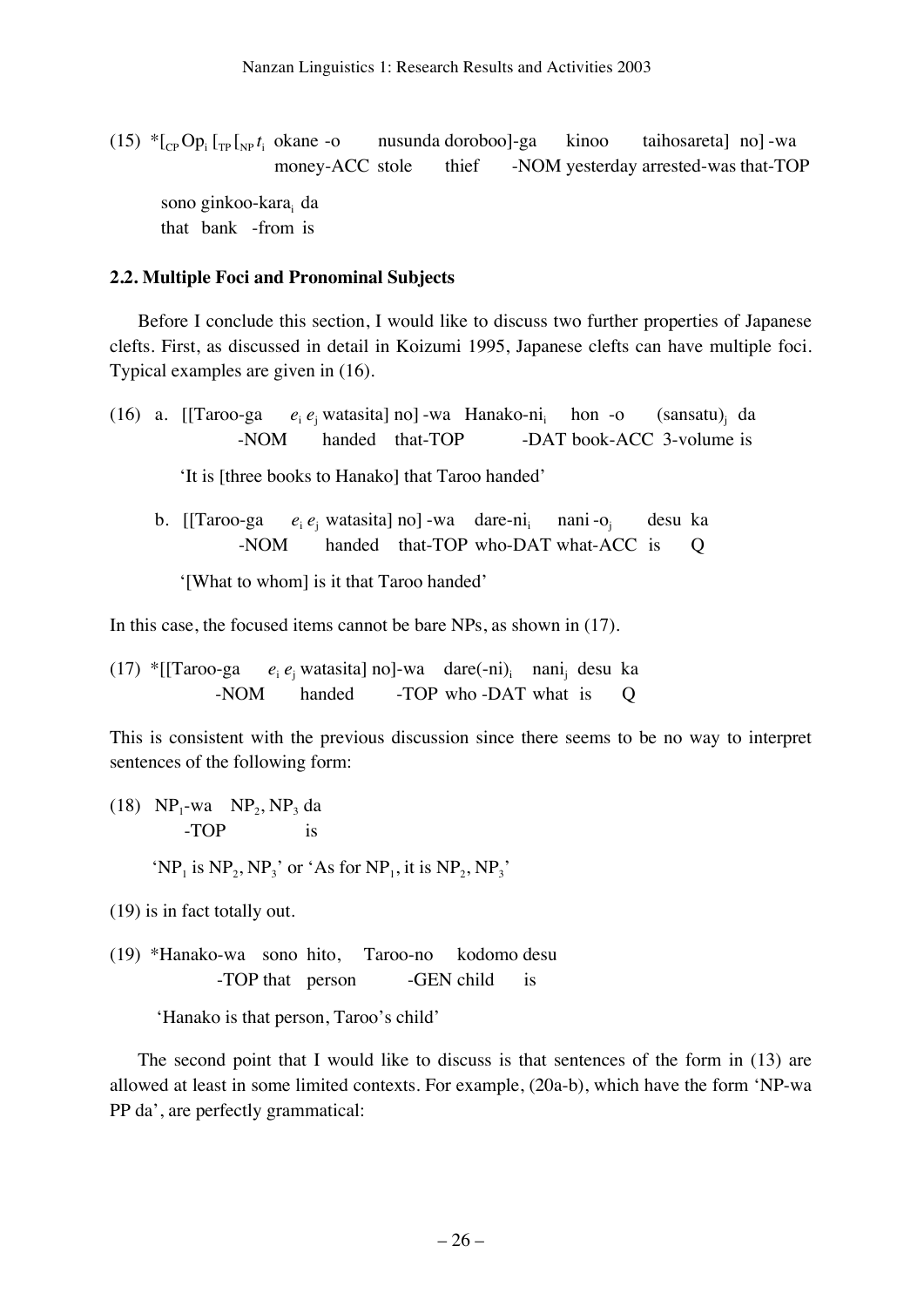$(15)$   $*$  [<sub>CP</sub> Op<sub>i</sub> [<sub>TP</sub> [<sub>NP</sub>  $t_i$ nusunda doroboo]-ga kinoo taihosareta] no] -wa money-ACC stole thief -NOM yesterday arrested-was that-TOP sono ginkoo-kara<sub>i</sub> da that bank -from is

#### **2.2. Multiple Foci and Pronominal Subjects**

Before I conclude this section, I would like to discuss two further properties of Japanese clefts. First, as discussed in detail in Koizumi 1995, Japanese clefts can have multiple foci. Typical examples are given in (16).

(16) a. **[**[Taroo-ga  $e_i e_i$  watasita] no] -wa Hanako-ni hon -o  $(sansatu)$ <sub>i</sub> da -NOM handed that-TOP -DAT book-ACC 3-volume is

'It is [three books to Hanako] that Taroo handed'

b. [[Taroo-ga  $e_i e_i$  watasita] no] -wa dare-ni<sub>i</sub> nani -oj desu ka -NOM handed that-TOP who-DAT what-ACC is Q

'[What to whom] is it that Taroo handed'

In this case, the focused items cannot be bare NPs, as shown in  $(17)$ .

(17) \*<sup>[[Taroo-ga]</sup> watasita] no]-wa dare $(-ni)$ <sub>i</sub> nani<sub>j</sub> desu ka -NOM handed -TOP who -DAT what is Q

This is consistent with the previous discussion since there seems to be no way to interpret sentences of the following form:

(18)  $NP_1$ -wa  $NP_2$ ,  $NP_3$  da -TOP is 'NP<sub>1</sub> is NP<sub>2</sub>, NP<sub>3</sub>' or 'As for NP<sub>1</sub>, it is NP<sub>2</sub>, NP<sub>3</sub>'

(19) is in fact totally out.

(19) \*Hanako-wa sono hito, Taroo-no kodomo desu -TOP that person -GEN child is

'Hanako is that person, Taroo's child'

The second point that I would like to discuss is that sentences of the form in (13) are allowed at least in some limited contexts. For example, (20a-b), which have the form 'NP-wa PP da', are perfectly grammatical: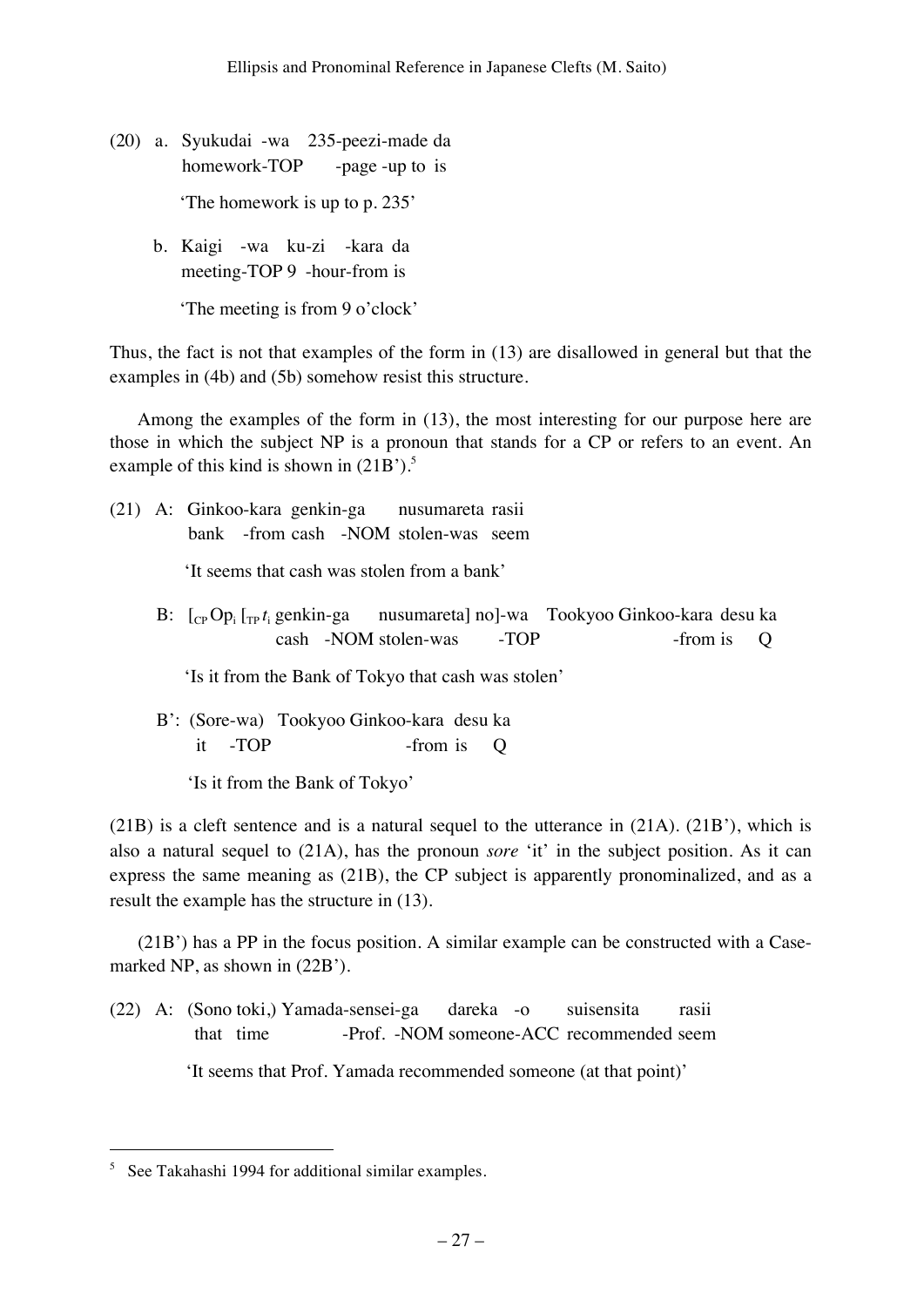- (20) a. Syukudai -wa 235-peezi-made da homework-TOP -page -up to is 'The homework is up to p. 235'
	- b. Kaigi -wa ku-zi -kara da meeting-TOP 9 -hour-from is

'The meeting is from 9 o'clock'

Thus, the fact is not that examples of the form in (13) are disallowed in general but that the examples in (4b) and (5b) somehow resist this structure.

Among the examples of the form in (13), the most interesting for our purpose here are those in which the subject NP is a pronoun that stands for a CP or refers to an event. An example of this kind is shown in  $(21B')$ .<sup>5</sup>

(21) A: Ginkoo-kara genkin-ga nusumareta rasii bank -from cash -NOM stolen-was seem

'It seems that cash was stolen from a bank'

 $B: \quad [C_{CP}Op_i]_{TP}t_i$ nusumareta] no]-wa Tookyoo Ginkoo-kara desu ka cash -NOM stolen-was -TOP -from is O

'Is it from the Bank of Tokyo that cash was stolen'

 B': (Sore-wa) Tookyoo Ginkoo-kara desu ka it -TOP -from is Q

'Is it from the Bank of Tokyo'

(21B) is a cleft sentence and is a natural sequel to the utterance in (21A). (21B'), which is also a natural sequel to (21A), has the pronoun *sore* 'it' in the subject position. As it can express the same meaning as (21B), the CP subject is apparently pronominalized, and as a result the example has the structure in (13).

(21B') has a PP in the focus position. A similar example can be constructed with a Casemarked NP, as shown in (22B').

(22) A: (Sono toki,) Yamada-sensei-ga dareka -o suisensita rasii that time -Prof. -NOM someone-ACC recommended seem 'It seems that Prof. Yamada recommended someone (at that point)'

 <sup>5</sup> See Takahashi 1994 for additional similar examples.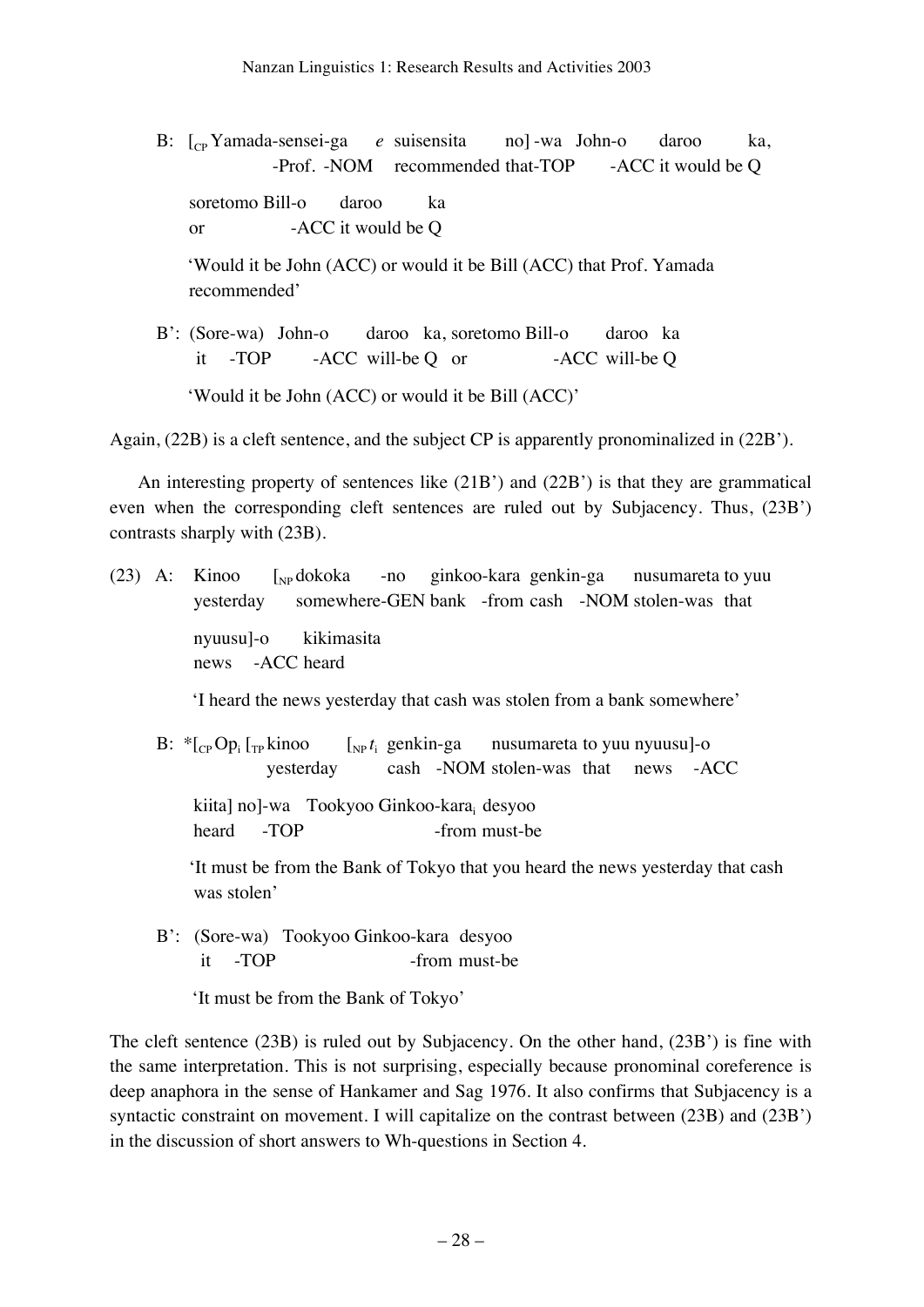- B:  $\lbrack_{\text{CP}}$  Yamada-sensei-ga *e* suisensita no] -wa John-o daroo ka, -Prof. -NOM recommended that-TOP -ACC it would be O soretomo Bill-o daroo ka or -ACC it would be Q 'Would it be John (ACC) or would it be Bill (ACC) that Prof. Yamada recommended' B': (Sore-wa) John-o daroo ka, soretomo Bill-o daroo ka
- it -TOP -ACC will-be Q or -ACC will-be Q 'Would it be John (ACC) or would it be Bill (ACC)'

Again, (22B) is a cleft sentence, and the subject CP is apparently pronominalized in (22B').

An interesting property of sentences like (21B') and (22B') is that they are grammatical even when the corresponding cleft sentences are ruled out by Subjacency. Thus, (23B') contrasts sharply with (23B).

(23) A: Kinoo  $\int_{NP}$ dokoka -no ginkoo-kara genkin-ga nusumareta to yuu yesterday somewhere-GEN bank -from cash -NOM stolen-was that nyuusu]-o kikimasita news -ACC heard

'I heard the news yesterday that cash was stolen from a bank somewhere'

 $B:$  \* $\left[\right]_{CP}$  Op<sub>i</sub> $\left[\right]_{TP}$  kinoo  $\int_{NP} t_i$  genkin-ga nusumareta to yuu nyuusu]-o yesterday cash -NOM stolen-was that news -ACC kiita] no]-wa Tookyoo Ginkoo-kara; desyoo heard -TOP -from must-be

 'It must be from the Bank of Tokyo that you heard the news yesterday that cash was stolen'

 B': (Sore-wa) Tookyoo Ginkoo-kara desyoo it -TOP -from must-be

'It must be from the Bank of Tokyo'

The cleft sentence (23B) is ruled out by Subjacency. On the other hand, (23B') is fine with the same interpretation. This is not surprising, especially because pronominal coreference is deep anaphora in the sense of Hankamer and Sag 1976. It also confirms that Subjacency is a syntactic constraint on movement. I will capitalize on the contrast between (23B) and (23B') in the discussion of short answers to Wh-questions in Section 4.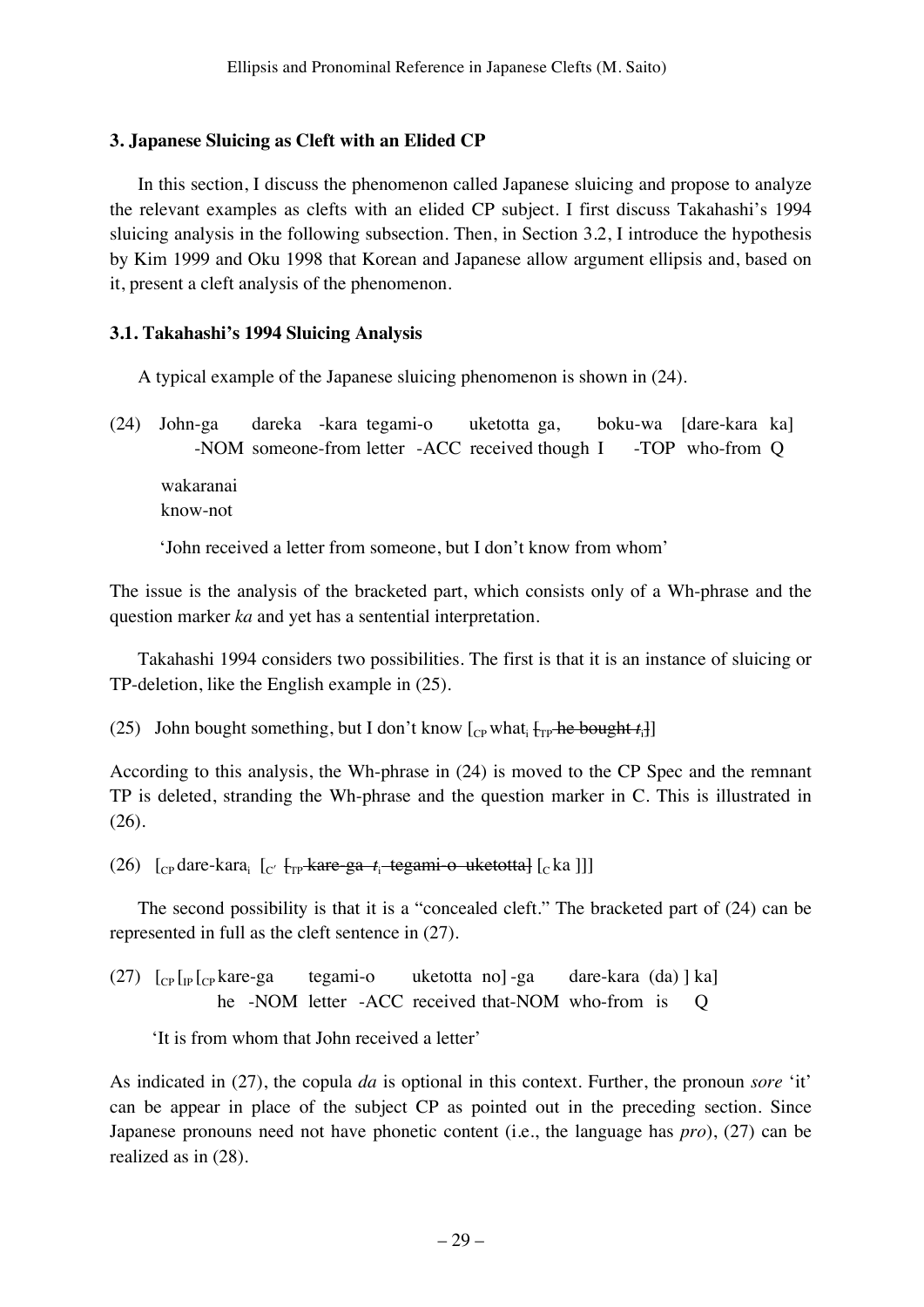# **3. Japanese Sluicing as Cleft with an Elided CP**

In this section, I discuss the phenomenon called Japanese sluicing and propose to analyze the relevant examples as clefts with an elided CP subject. I first discuss Takahashi's 1994 sluicing analysis in the following subsection. Then, in Section 3.2, I introduce the hypothesis by Kim 1999 and Oku 1998 that Korean and Japanese allow argument ellipsis and, based on it, present a cleft analysis of the phenomenon.

# **3.1. Takahashi's 1994 Sluicing Analysis**

A typical example of the Japanese sluicing phenomenon is shown in (24).

(24) John-ga dareka -kara tegami-o uketotta ga, boku-wa [dare-kara ka] -NOM someone-from letter -ACC received though I -TOP who-from Q wakaranai

know-not

'John received a letter from someone, but I don't know from whom'

The issue is the analysis of the bracketed part, which consists only of a Wh-phrase and the question marker *ka* and yet has a sentential interpretation.

Takahashi 1994 considers two possibilities. The first is that it is an instance of sluicing or TP-deletion, like the English example in (25).

(25) John bought something, but I don't know  $[$ <sub>CP</sub> what<sub>i</sub>  $\{$ <sub>TP</sub> he bought  $t_i$ ]

According to this analysis, the Wh-phrase in (24) is moved to the CP Spec and the remnant TP is deleted, stranding the Wh-phrase and the question marker in C. This is illustrated in (26).

(26) [<sub>CP</sub> dare-kara<sub>i</sub> [<sub>C'</sub> [<sub>TP</sub> kare ga *t*<sub>i</sub> tegami o uketotta] [<sub>C</sub> ka ]]]

The second possibility is that it is a "concealed cleft." The bracketed part of (24) can be represented in full as the cleft sentence in (27).

 $(27)$   $\lceil_{CP} \rceil_{CP}$  kare-ga tegami-o uketotta no]-ga dare-kara (da) ] ka] he -NOM letter -ACC received that-NOM who-from is Q

'It is from whom that John received a letter'

As indicated in (27), the copula *da* is optional in this context. Further, the pronoun *sore* 'it' can be appear in place of the subject CP as pointed out in the preceding section. Since Japanese pronouns need not have phonetic content (i.e., the language has *pro*), (27) can be realized as in (28).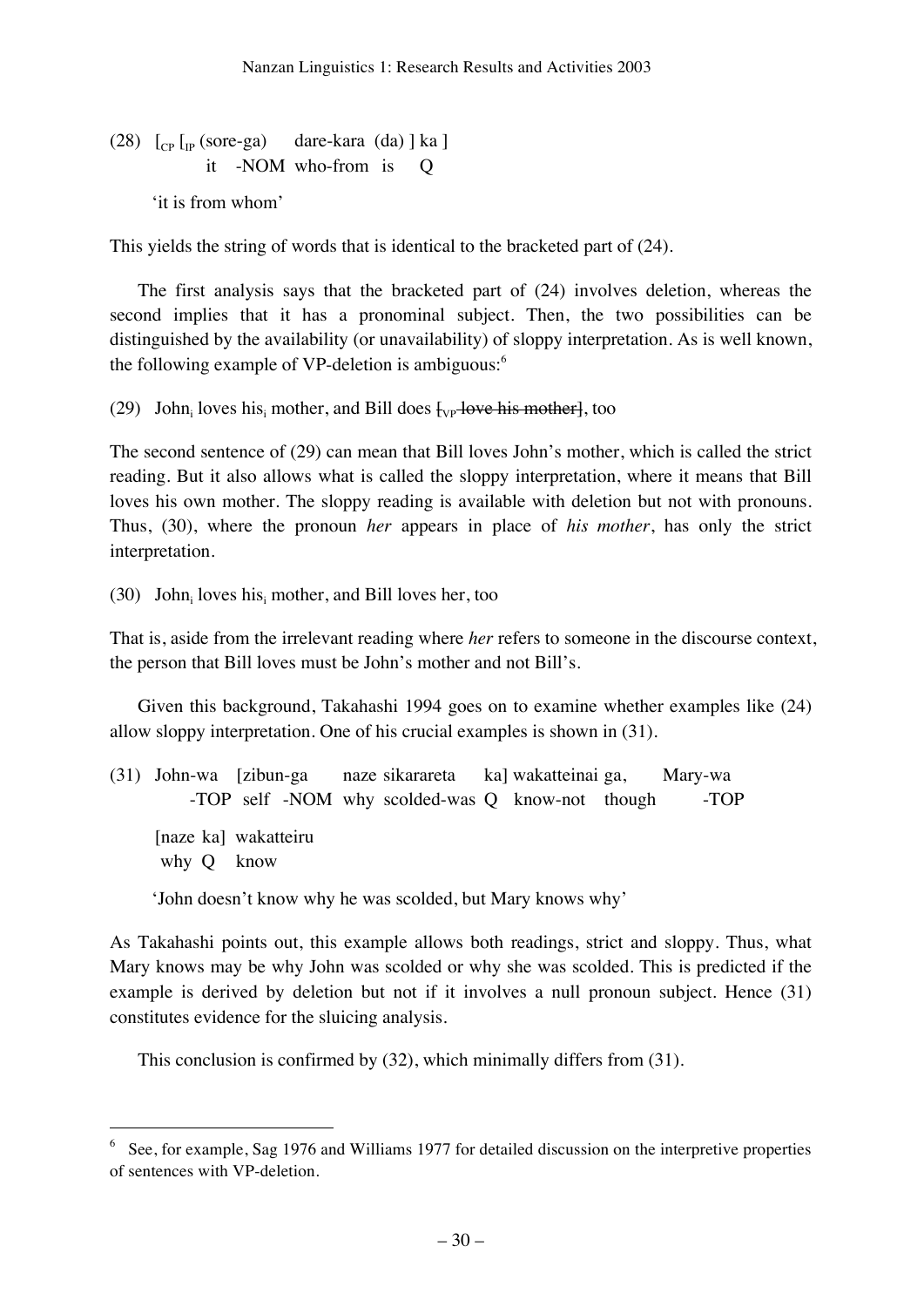# (28)  $\lceil_{CP} \rceil_{IP}$  (sore-ga) dare-kara (da) ] ka ] it -NOM who-from is Q 'it is from whom'

This yields the string of words that is identical to the bracketed part of (24).

The first analysis says that the bracketed part of (24) involves deletion, whereas the second implies that it has a pronominal subject. Then, the two possibilities can be distinguished by the availability (or unavailability) of sloppy interpretation. As is well known, the following example of VP-deletion is ambiguous:<sup>6</sup>

(29) John<sub>i</sub> loves his<sub>i</sub> mother, and Bill does  $\frac{1}{2}$  love his mother less too

The second sentence of (29) can mean that Bill loves John's mother, which is called the strict reading. But it also allows what is called the sloppy interpretation, where it means that Bill loves his own mother. The sloppy reading is available with deletion but not with pronouns. Thus, (30), where the pronoun *her* appears in place of *his mother*, has only the strict interpretation.

(30) John<sub>i</sub> loves his<sub>i</sub> mother, and Bill loves her, too

That is, aside from the irrelevant reading where *her* refers to someone in the discourse context, the person that Bill loves must be John's mother and not Bill's.

Given this background, Takahashi 1994 goes on to examine whether examples like (24) allow sloppy interpretation. One of his crucial examples is shown in (31).

|            | (31) John-wa [zibun-ga naze sikarareta ka] wakatteinai ga, Mary-wa |  |  |      |
|------------|--------------------------------------------------------------------|--|--|------|
|            | -TOP self -NOM why scolded-was Q know-not though                   |  |  | -TOP |
| why Q know | [naze ka] wakatteiru                                               |  |  |      |
|            |                                                                    |  |  |      |

'John doesn't know why he was scolded, but Mary knows why'

As Takahashi points out, this example allows both readings, strict and sloppy. Thus, what Mary knows may be why John was scolded or why she was scolded. This is predicted if the example is derived by deletion but not if it involves a null pronoun subject. Hence (31) constitutes evidence for the sluicing analysis.

This conclusion is confirmed by (32), which minimally differs from (31).

 <sup>6</sup> See, for example, Sag 1976 and Williams 1977 for detailed discussion on the interpretive properties of sentences with VP-deletion.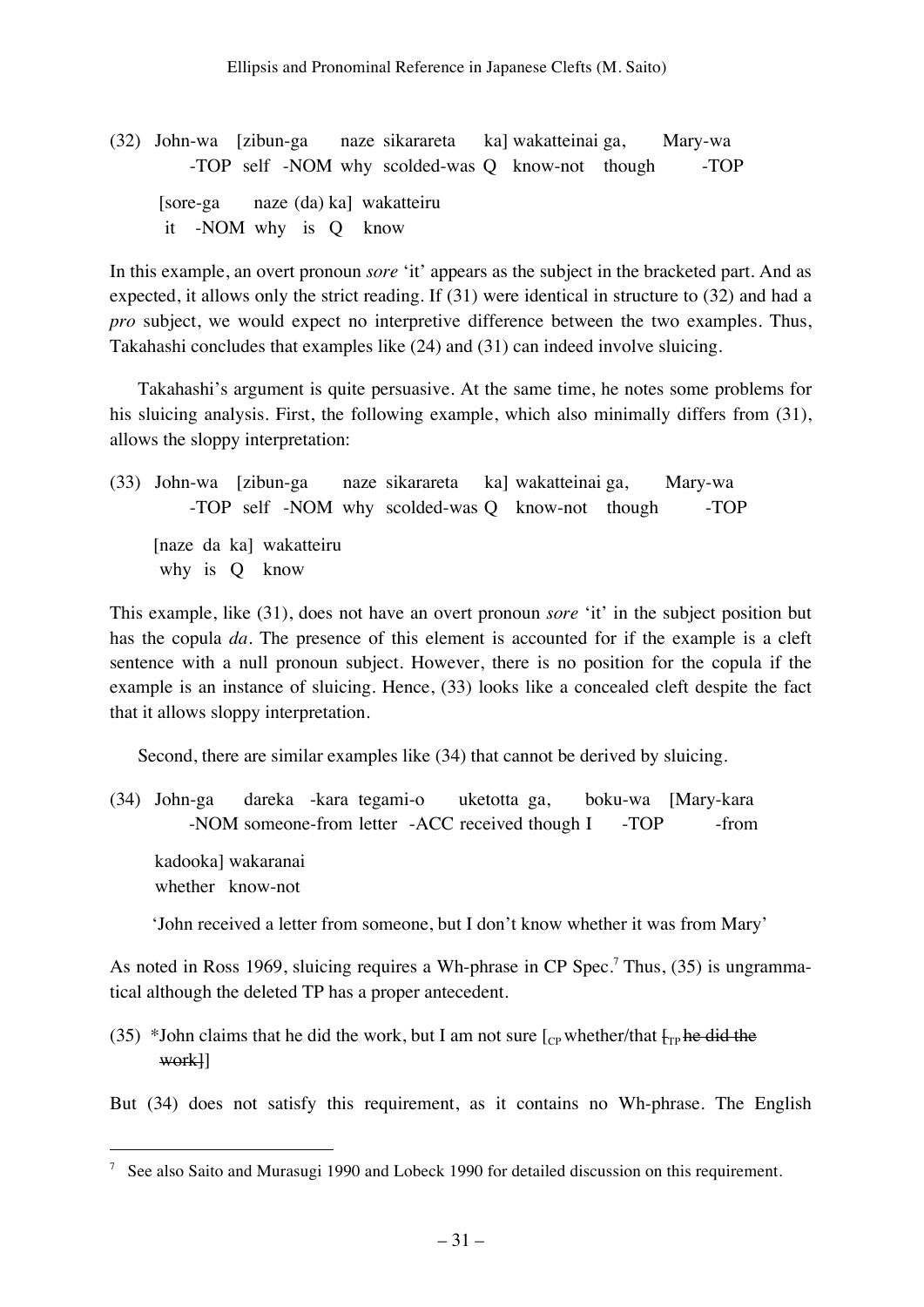(32) John-wa [zibun-ga naze sikarareta ka] wakatteinai ga, Mary-wa -TOP self -NOM why scolded-was Q know-not though -TOP [sore-ga naze (da) ka] wakatteiru it -NOM why is Q know

In this example, an overt pronoun *sore* 'it' appears as the subject in the bracketed part. And as expected, it allows only the strict reading. If (31) were identical in structure to (32) and had a *pro* subject, we would expect no interpretive difference between the two examples. Thus, Takahashi concludes that examples like (24) and (31) can indeed involve sluicing.

Takahashi's argument is quite persuasive. At the same time, he notes some problems for his sluicing analysis. First, the following example, which also minimally differs from (31), allows the sloppy interpretation:

(33) John-wa [zibun-ga naze sikarareta ka] wakatteinai ga, Mary-wa -TOP self -NOM why scolded-was Q know-not though -TOP [naze da ka] wakatteiru why is Q know

This example, like (31), does not have an overt pronoun *sore* 'it' in the subject position but has the copula *da*. The presence of this element is accounted for if the example is a cleft sentence with a null pronoun subject. However, there is no position for the copula if the example is an instance of sluicing. Hence, (33) looks like a concealed cleft despite the fact that it allows sloppy interpretation.

Second, there are similar examples like (34) that cannot be derived by sluicing.

(34) John-ga dareka -kara tegami-o uketotta ga, boku-wa [Mary-kara -NOM someone-from letter -ACC received though I -TOP -from kadooka] wakaranai whether know-not

'John received a letter from someone, but I don't know whether it was from Mary'

As noted in Ross 1969, sluicing requires a Wh-phrase in CP Spec.<sup>7</sup> Thus, (35) is ungrammatical although the deleted TP has a proper antecedent.

(35) \*John claims that he did the work, but I am not sure  $\begin{bmatrix} C_{\text{CP}} \text{ whether/that } \frac{1}{T_{\text{CP}}} \text{he did the} \end{bmatrix}$ work]]

But (34) does not satisfy this requirement, as it contains no Wh-phrase. The English

 $\frac{7}{1}$  See also Saito and Murasugi 1990 and Lobeck 1990 for detailed discussion on this requirement.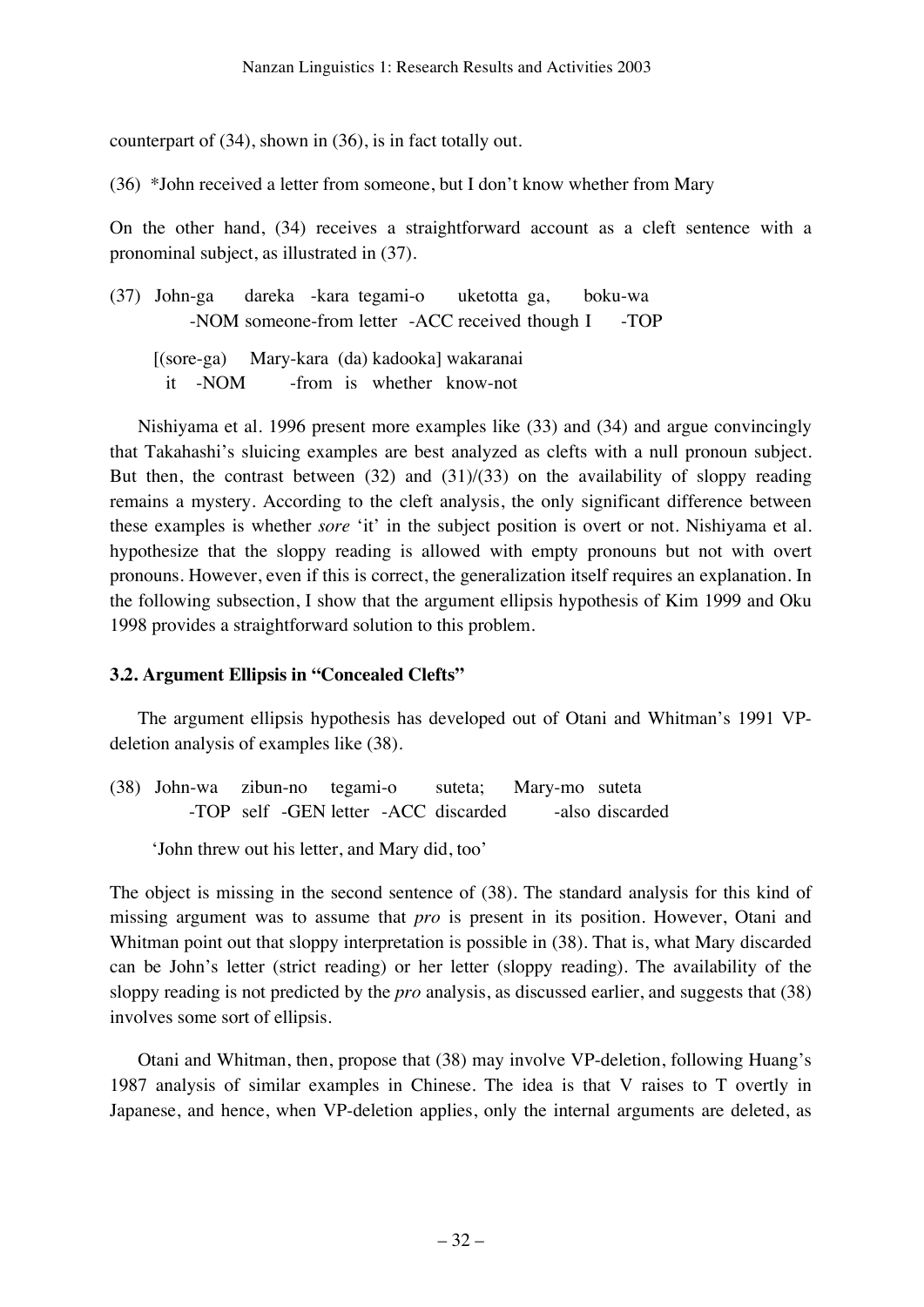counterpart of (34), shown in (36), is in fact totally out.

(36) \*John received a letter from someone, but I don't know whether from Mary

On the other hand, (34) receives a straightforward account as a cleft sentence with a pronominal subject, as illustrated in (37).

(37) John-ga dareka -kara tegami-o uketotta ga, boku-wa -NOM someone-from letter -ACC received though I -TOP

 [(sore-ga) Mary-kara (da) kadooka] wakaranai it -NOM -from is whether know-not

Nishiyama et al. 1996 present more examples like (33) and (34) and argue convincingly that Takahashi's sluicing examples are best analyzed as clefts with a null pronoun subject. But then, the contrast between  $(32)$  and  $(31)/(33)$  on the availability of sloppy reading remains a mystery. According to the cleft analysis, the only significant difference between these examples is whether *sore* 'it' in the subject position is overt or not. Nishiyama et al. hypothesize that the sloppy reading is allowed with empty pronouns but not with overt pronouns. However, even if this is correct, the generalization itself requires an explanation. In the following subsection, I show that the argument ellipsis hypothesis of Kim 1999 and Oku 1998 provides a straightforward solution to this problem.

# **3.2. Argument Ellipsis in "Concealed Clefts"**

The argument ellipsis hypothesis has developed out of Otani and Whitman's 1991 VPdeletion analysis of examples like (38).

(38) John-wa zibun-no tegami-o suteta; Mary-mo suteta -TOP self -GEN letter -ACC discarded -also discarded

'John threw out his letter, and Mary did, too'

The object is missing in the second sentence of (38). The standard analysis for this kind of missing argument was to assume that *pro* is present in its position. However, Otani and Whitman point out that sloppy interpretation is possible in (38). That is, what Mary discarded can be John's letter (strict reading) or her letter (sloppy reading). The availability of the sloppy reading is not predicted by the *pro* analysis, as discussed earlier, and suggests that (38) involves some sort of ellipsis.

Otani and Whitman, then, propose that (38) may involve VP-deletion, following Huang's 1987 analysis of similar examples in Chinese. The idea is that V raises to T overtly in Japanese, and hence, when VP-deletion applies, only the internal arguments are deleted, as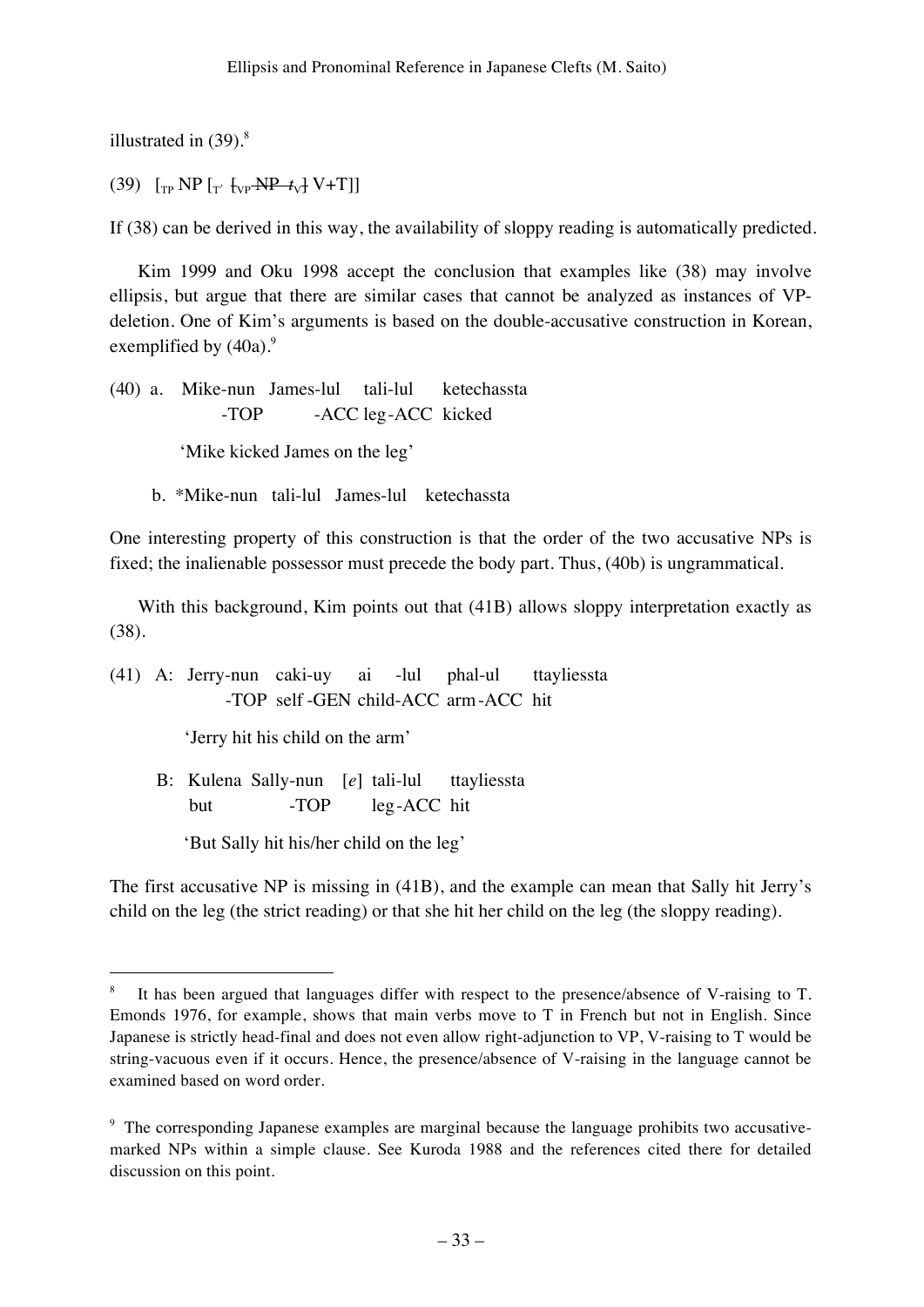illustrated in  $(39)$ .<sup>8</sup>

(39)  $\int_{\text{TP}} \text{NP} \left[ \frac{1}{T} \left( \frac{1}{T} \frac{1}{T} \left[ \frac{1}{T} \frac{1}{T} \frac{1}{T} \right] - \frac{1}{T} \frac{1}{T} \frac{1}{T} \right] \right]$ 

If (38) can be derived in this way, the availability of sloppy reading is automatically predicted.

Kim 1999 and Oku 1998 accept the conclusion that examples like (38) may involve ellipsis, but argue that there are similar cases that cannot be analyzed as instances of VPdeletion. One of Kim's arguments is based on the double-accusative construction in Korean, exemplified by  $(40a)$ .<sup>9</sup>

(40) a. Mike-nun James-lul tali-lul ketechassta -TOP -ACC leg-ACC kicked

'Mike kicked James on the leg'

b. \*Mike-nun tali-lul James-lul ketechassta

One interesting property of this construction is that the order of the two accusative NPs is fixed; the inalienable possessor must precede the body part. Thus, (40b) is ungrammatical.

With this background, Kim points out that (41B) allows sloppy interpretation exactly as (38).

(41) A: Jerry-nun caki-uy ai -lul phal-ul ttayliessta -TOP self -GEN child-ACC arm-ACC hit

'Jerry hit his child on the arm'

 B: Kulena Sally-nun [*e*] tali-lul ttayliessta but -TOP leg-ACC hit

'But Sally hit his/her child on the leg'

The first accusative NP is missing in (41B), and the example can mean that Sally hit Jerry's child on the leg (the strict reading) or that she hit her child on the leg (the sloppy reading).

 <sup>8</sup> <sup>8</sup> It has been argued that languages differ with respect to the presence/absence of V-raising to T. Emonds 1976, for example, shows that main verbs move to T in French but not in English. Since Japanese is strictly head-final and does not even allow right-adjunction to VP, V-raising to T would be string-vacuous even if it occurs. Hence, the presence/absence of V-raising in the language cannot be examined based on word order.

<sup>&</sup>lt;sup>9</sup> The corresponding Japanese examples are marginal because the language prohibits two accusativemarked NPs within a simple clause. See Kuroda 1988 and the references cited there for detailed discussion on this point.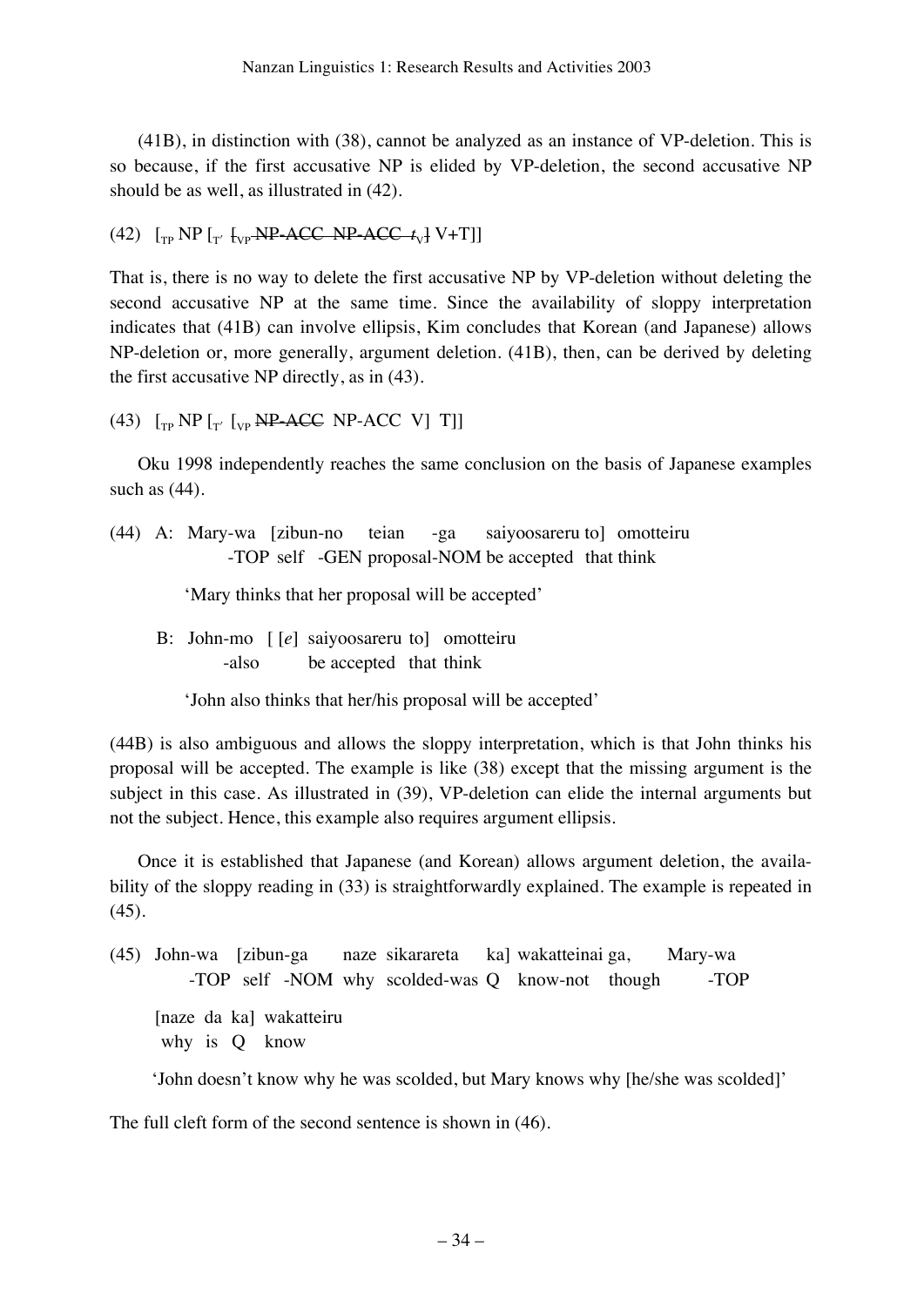(41B), in distinction with (38), cannot be analyzed as an instance of VP-deletion. This is so because, if the first accusative NP is elided by VP-deletion, the second accusative NP should be as well, as illustrated in (42).

```
(42) \lceil \frac{1}{T} \text{NP} \rceil_{T' \text{VP}} \text{NP} \text{ACC} \text{NP} \text{ACC} \text{t}_{V} \text{V} + \text{T} \rceil
```
That is, there is no way to delete the first accusative NP by VP-deletion without deleting the second accusative NP at the same time. Since the availability of sloppy interpretation indicates that (41B) can involve ellipsis, Kim concludes that Korean (and Japanese) allows NP-deletion or, more generally, argument deletion. (41B), then, can be derived by deleting the first accusative NP directly, as in (43).

(43)  $\lceil_{\text{TP}}$  NP  $\lceil_{\text{T}'}$   $\lceil_{\text{VP}}$  NP-ACC NP-ACC V] T]]

Oku 1998 independently reaches the same conclusion on the basis of Japanese examples such as (44).

(44) A: Mary-wa [zibun-no teian -ga saiyoosareru to] omotteiru -TOP self -GEN proposal-NOM be accepted that think

'Mary thinks that her proposal will be accepted'

 B: John-mo [ [*e*] saiyoosareru to] omotteiru -also be accepted that think

'John also thinks that her/his proposal will be accepted'

(44B) is also ambiguous and allows the sloppy interpretation, which is that John thinks his proposal will be accepted. The example is like (38) except that the missing argument is the subject in this case. As illustrated in (39), VP-deletion can elide the internal arguments but not the subject. Hence, this example also requires argument ellipsis.

Once it is established that Japanese (and Korean) allows argument deletion, the availability of the sloppy reading in (33) is straightforwardly explained. The example is repeated in (45).

(45) John-wa [zibun-ga naze sikarareta ka] wakatteinai ga, Mary-wa -TOP self -NOM why scolded-was Q know-not though -TOP [naze da ka] wakatteiru why is Q know

'John doesn't know why he was scolded, but Mary knows why [he/she was scolded]'

The full cleft form of the second sentence is shown in (46).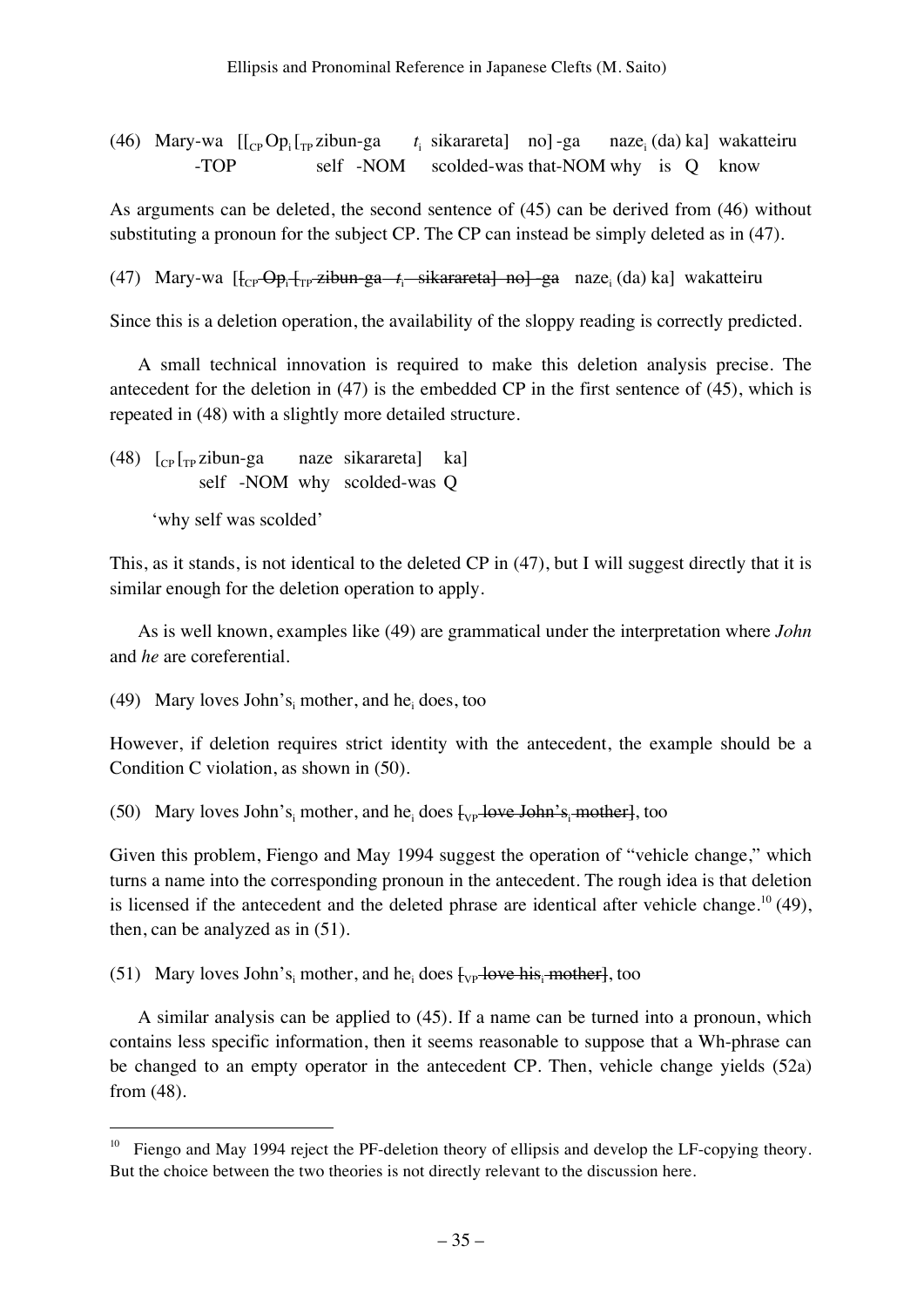(46) Mary-wa  $[[_{CP}Op_i]_{TP}$ zibun-ga *t*<sub>i</sub> sikarareta] no]-ga naze<sub>i</sub> (da) ka] wakatteiru -TOP self -NOM scolded-was that-NOM why is Q know

As arguments can be deleted, the second sentence of (45) can be derived from (46) without substituting a pronoun for the subject CP. The CP can instead be simply deleted as in (47).

(47) Mary-wa [f<sub>cp</sub>-<del>Op<sub>i</sub> [<sub>rp</sub>-zibun-ga-1<sub>i</sub>-sikarareta] no] ga</del> naze<sub>i</sub> (da) ka] wakatteiru

Since this is a deletion operation, the availability of the sloppy reading is correctly predicted.

A small technical innovation is required to make this deletion analysis precise. The antecedent for the deletion in (47) is the embedded CP in the first sentence of (45), which is repeated in (48) with a slightly more detailed structure.

(48)  $\left[\begin{array}{ccc} \text{Cp} & \text{Fp} & \text{Zibun-ga} \\ \text{Rn} & \text{Bn} & \text{Bn} \end{array}\right]$  (48) self -NOM why scolded-was Q

'why self was scolded'

This, as it stands, is not identical to the deleted CP in (47), but I will suggest directly that it is similar enough for the deletion operation to apply.

As is well known, examples like (49) are grammatical under the interpretation where *John* and *he* are coreferential.

(49) Mary loves John's<sub>i</sub> mother, and he<sub>i</sub> does, too

However, if deletion requires strict identity with the antecedent, the example should be a Condition C violation, as shown in (50).

(50) Mary loves John's<sub>i</sub> mother, and he<sub>i</sub> does  $\frac{1}{2}$  love John's<sub>i</sub> mother less, too

Given this problem, Fiengo and May 1994 suggest the operation of "vehicle change," which turns a name into the corresponding pronoun in the antecedent. The rough idea is that deletion is licensed if the antecedent and the deleted phrase are identical after vehicle change.<sup>10</sup> (49), then, can be analyzed as in (51).

(51) Mary loves John's<sub>i</sub> mother, and he<sub>i</sub> does  $\frac{1}{2}$  love his<sub>i</sub> mother let too

A similar analysis can be applied to (45). If a name can be turned into a pronoun, which contains less specific information, then it seems reasonable to suppose that a Wh-phrase can be changed to an empty operator in the antecedent CP. Then, vehicle change yields (52a) from (48).

 $10$  Fiengo and May 1994 reject the PF-deletion theory of ellipsis and develop the LF-copying theory. But the choice between the two theories is not directly relevant to the discussion here.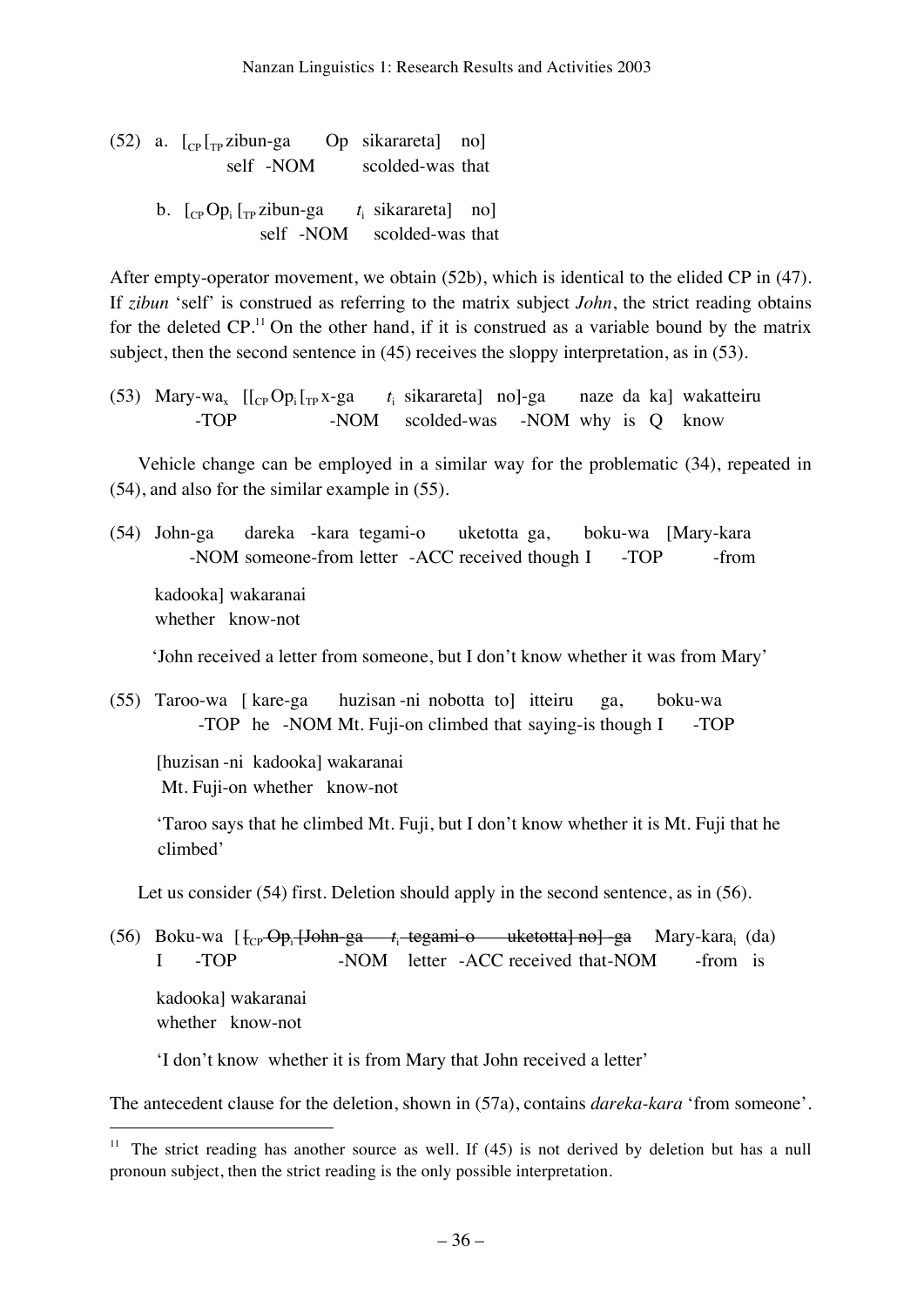(52) a.  $\lceil \frac{C_P}{T_P}$ zibun-ga Op sikarareta] no] self -NOM scolded-was that b. [<sub>CP</sub>Op<sub>i</sub> [<sub>TP</sub> zibun-ga *t*<sub>i</sub>  $t_i$  sikarareta] no]

self -NOM scolded-was that

After empty-operator movement, we obtain (52b), which is identical to the elided CP in (47). If *zibun* 'self' is construed as referring to the matrix subject *John*, the strict reading obtains for the deleted  $CP$ .<sup>11</sup> On the other hand, if it is construed as a variable bound by the matrix subject, then the second sentence in (45) receives the sloppy interpretation, as in (53).

(53) Mary-wa<sub>x</sub>  $[[_{CP}Op_i[_{TP}x-ga$  $t_i$  sikarareta] no]-ga naze da ka] wakatteiru -TOP -NOM scolded-was -NOM why is Q know

Vehicle change can be employed in a similar way for the problematic (34), repeated in (54), and also for the similar example in (55).

(54) John-ga dareka -kara tegami-o uketotta ga, boku-wa [Mary-kara -NOM someone-from letter -ACC received though I -TOP -from kadooka] wakaranai whether know-not

'John received a letter from someone, but I don't know whether it was from Mary'

(55) Taroo-wa [ kare-ga huzisan -ni nobotta to] itteiru ga, boku-wa -TOP he -NOM Mt. Fuji-on climbed that saying-is though I -TOP

 [huzisan -ni kadooka] wakaranai Mt. Fuji-on whether know-not

 'Taroo says that he climbed Mt. Fuji, but I don't know whether it is Mt. Fuji that he climbed'

Let us consider (54) first. Deletion should apply in the second sentence, as in (56).

(56) Boku-wa [ [CP Opi [John-ga *t*i tegami-o uketotta] no] -ga Mary-karai (da) I -TOP -NOM letter -ACC received that-NOM -from is kadooka] wakaranai whether know-not

'I don't know whether it is from Mary that John received a letter'

The antecedent clause for the deletion, shown in (57a), contains *dareka-kara* 'from someone'.

<sup>&</sup>lt;sup>11</sup> The strict reading has another source as well. If  $(45)$  is not derived by deletion but has a null pronoun subject, then the strict reading is the only possible interpretation.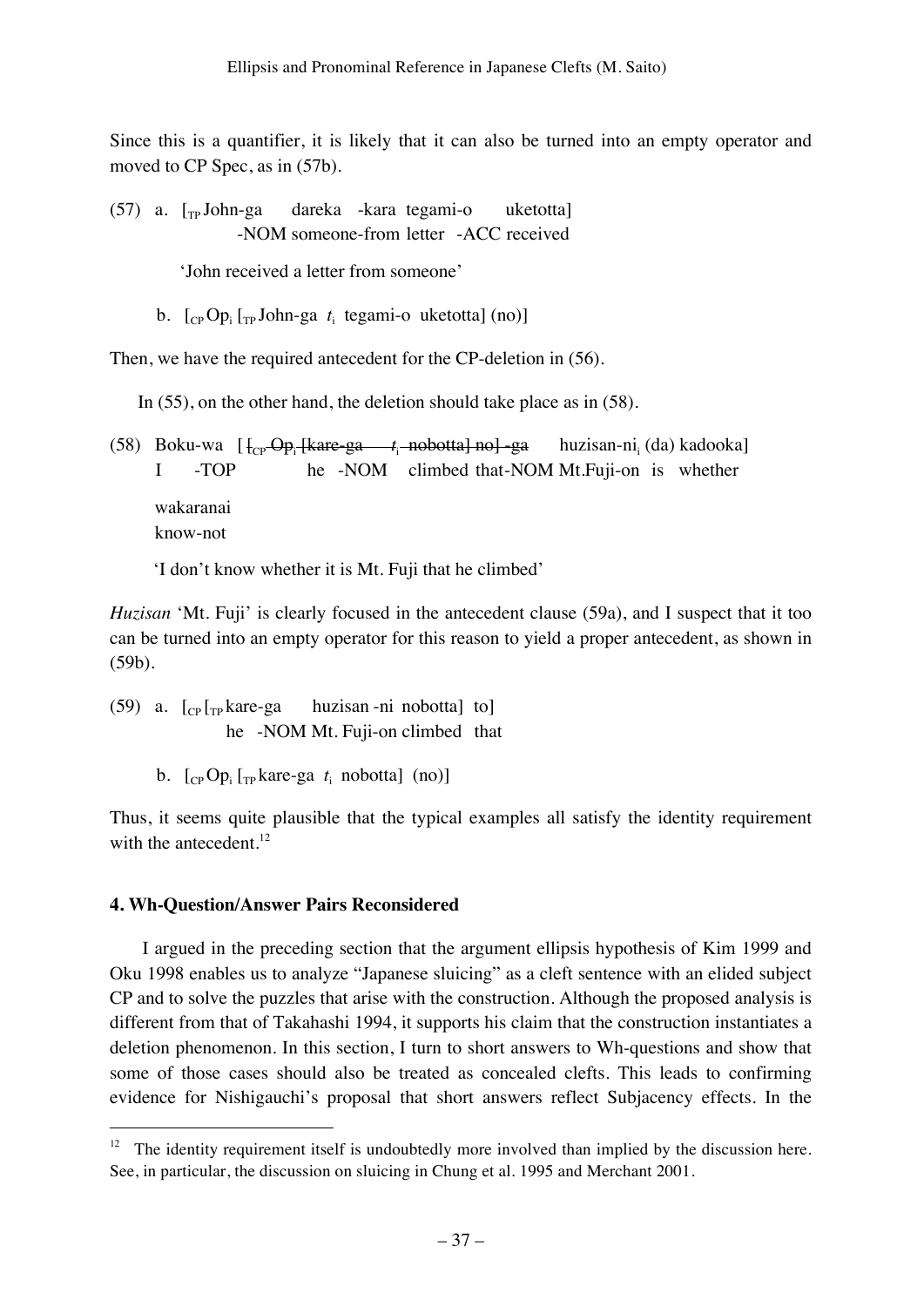Since this is a quantifier, it is likely that it can also be turned into an empty operator and moved to CP Spec, as in (57b).

 $(57)$  a.  $\lceil_{TP}$  John-ga dareka -kara tegami-o uketotta] -NOM someone-from letter -ACC received

'John received a letter from someone'

b.  $\left[\begin{smallmatrix}C_P\O_p\end{smallmatrix}\right]\left[\begin{smallmatrix}T_P\end{smallmatrix}\right]$ John-ga  $t_i$  tegami-o uketotta] (no)]

Then, we have the required antecedent for the CP-deletion in (56).

In (55), on the other hand, the deletion should take place as in (58).

(58) Boku-wa [ [CP Opi [kare-ga *t*<sup>i</sup> nobotta] no] -ga huzisan-nii huzisan-ni, (da) kadooka] I -TOP he -NOM climbed that-NOM Mt.Fuji-on is whether wakaranai know-not

'I don't know whether it is Mt. Fuji that he climbed'

*Huzisan* 'Mt. Fuji' is clearly focused in the antecedent clause (59a), and I suspect that it too can be turned into an empty operator for this reason to yield a proper antecedent, as shown in (59b).

(59) a.  $\lceil c_{\rm P} \rceil_{\rm Tp}$  kare-ga huzisan -ni nobotta] to he -NOM Mt. Fuji-on climbed that

b.  $\left[$ <sub>CP</sub> Op<sub>i</sub> $\left[$ <sub>TP</sub> kare-ga  $t_i$  nobotta] (no)]

Thus, it seems quite plausible that the typical examples all satisfy the identity requirement with the antecedent.<sup>12</sup>

# **4. Wh-Question/Answer Pairs Reconsidered**

 I argued in the preceding section that the argument ellipsis hypothesis of Kim 1999 and Oku 1998 enables us to analyze "Japanese sluicing" as a cleft sentence with an elided subject CP and to solve the puzzles that arise with the construction. Although the proposed analysis is different from that of Takahashi 1994, it supports his claim that the construction instantiates a deletion phenomenon. In this section, I turn to short answers to Wh-questions and show that some of those cases should also be treated as concealed clefts. This leads to confirming evidence for Nishigauchi's proposal that short answers reflect Subjacency effects. In the

 $12$  The identity requirement itself is undoubtedly more involved than implied by the discussion here. See, in particular, the discussion on sluicing in Chung et al. 1995 and Merchant 2001.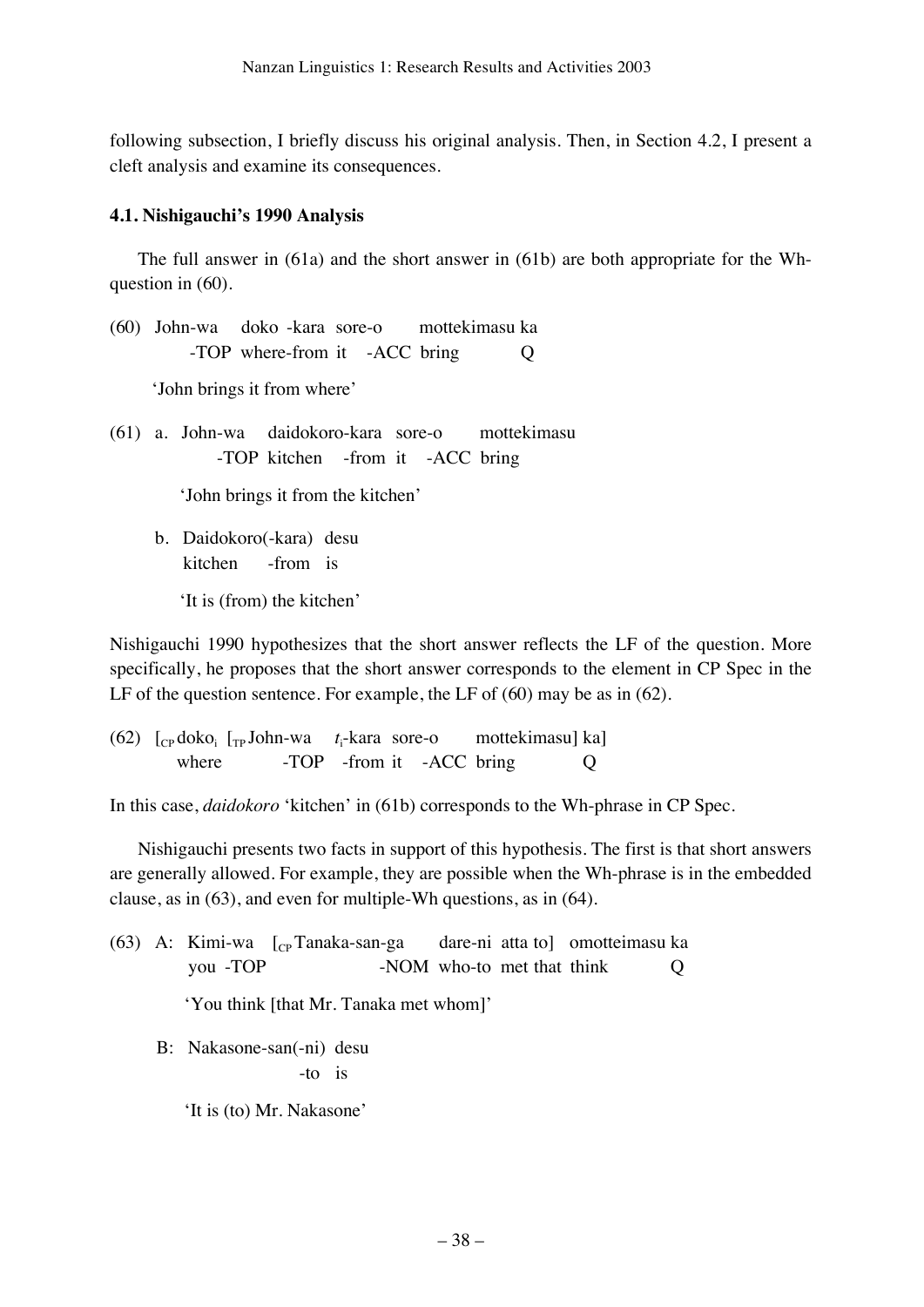following subsection, I briefly discuss his original analysis. Then, in Section 4.2, I present a cleft analysis and examine its consequences.

### **4.1. Nishigauchi's 1990 Analysis**

The full answer in (61a) and the short answer in (61b) are both appropriate for the Whquestion in (60).

(60) John-wa doko -kara sore-o mottekimasu ka -TOP where-from it -ACC bring Q

'John brings it from where'

(61) a. John-wa daidokoro-kara sore-o mottekimasu -TOP kitchen -from it -ACC bring

'John brings it from the kitchen'

 b. Daidokoro(-kara) desu kitchen -from is

'It is (from) the kitchen'

Nishigauchi 1990 hypothesizes that the short answer reflects the LF of the question. More specifically, he proposes that the short answer corresponds to the element in CP Spec in the LF of the question sentence. For example, the LF of (60) may be as in (62).

(62)  $\int_{CP} d\alpha k \sigma_i \int_{TP} John-wa \quad t_i$ mottekimasu] ka] where -TOP -from it -ACC bring Q

In this case, *daidokoro* 'kitchen' in (61b) corresponds to the Wh-phrase in CP Spec.

Nishigauchi presents two facts in support of this hypothesis. The first is that short answers are generally allowed. For example, they are possible when the Wh-phrase is in the embedded clause, as in (63), and even for multiple-Wh questions, as in (64).

(63) A: Kimi-wa  $\begin{bmatrix} C_{\text{P}} \end{bmatrix}$  Tanaka-san-ga dare-ni atta to omotteimasu ka you -TOP -NOM who-to met that think Q 'You think [that Mr. Tanaka met whom]' B: Nakasone-san(-ni) desu -to is 'It is (to) Mr. Nakasone'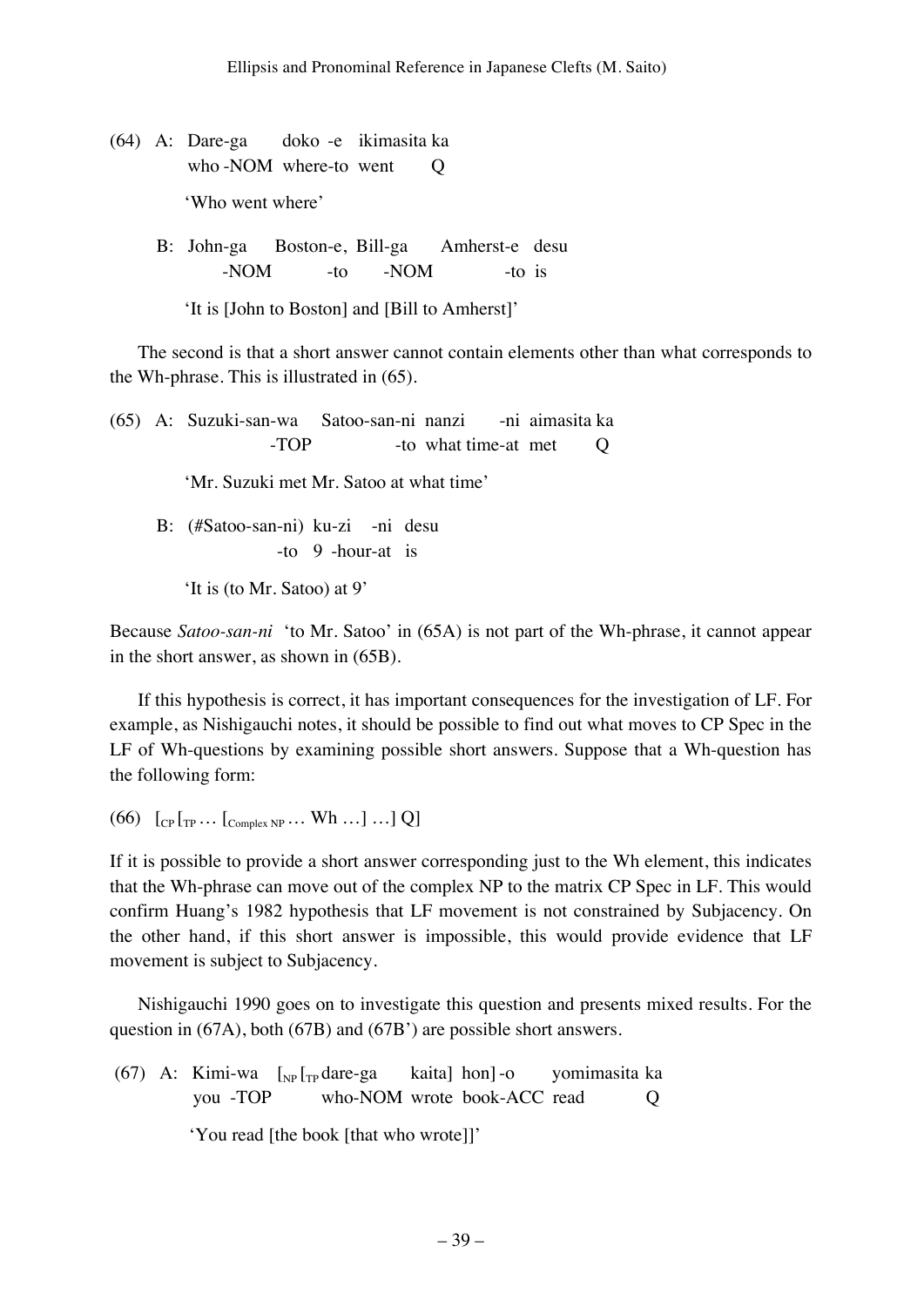- (64) A: Dare-ga doko -e ikimasita ka who -NOM where-to went Q 'Who went where'
- B: John-ga Boston-e, Bill-ga Amherst-e desu -NOM -to -NOM -to is

'It is [John to Boston] and [Bill to Amherst]'

The second is that a short answer cannot contain elements other than what corresponds to the Wh-phrase. This is illustrated in (65).

(65) A: Suzuki-san-wa Satoo-san-ni nanzi -ni aimasita ka -TOP -to what time-at met Q 'Mr. Suzuki met Mr. Satoo at what time' B: (#Satoo-san-ni) ku-zi -ni desu -to 9 -hour-at is

'It is (to Mr. Satoo) at 9'

Because *Satoo-san-ni* 'to Mr. Satoo' in (65A) is not part of the Wh-phrase, it cannot appear in the short answer, as shown in (65B).

If this hypothesis is correct, it has important consequences for the investigation of LF. For example, as Nishigauchi notes, it should be possible to find out what moves to CP Spec in the LF of Wh-questions by examining possible short answers. Suppose that a Wh-question has the following form:

 $(66)$   $[_{CP} [_{TP} ... [_{Complex NP} ... Wh ...] ...] Q]$ 

If it is possible to provide a short answer corresponding just to the Wh element, this indicates that the Wh-phrase can move out of the complex NP to the matrix CP Spec in LF. This would confirm Huang's 1982 hypothesis that LF movement is not constrained by Subjacency. On the other hand, if this short answer is impossible, this would provide evidence that LF movement is subject to Subjacency.

Nishigauchi 1990 goes on to investigate this question and presents mixed results. For the question in (67A), both (67B) and (67B') are possible short answers.

(67) A: Kimi-wa  $\lceil_{NP} \rceil_{TP}$ dare-ga kaita] hon]-o yomimasita ka you -TOP who-NOM wrote book-ACC read Q

'You read [the book [that who wrote]]'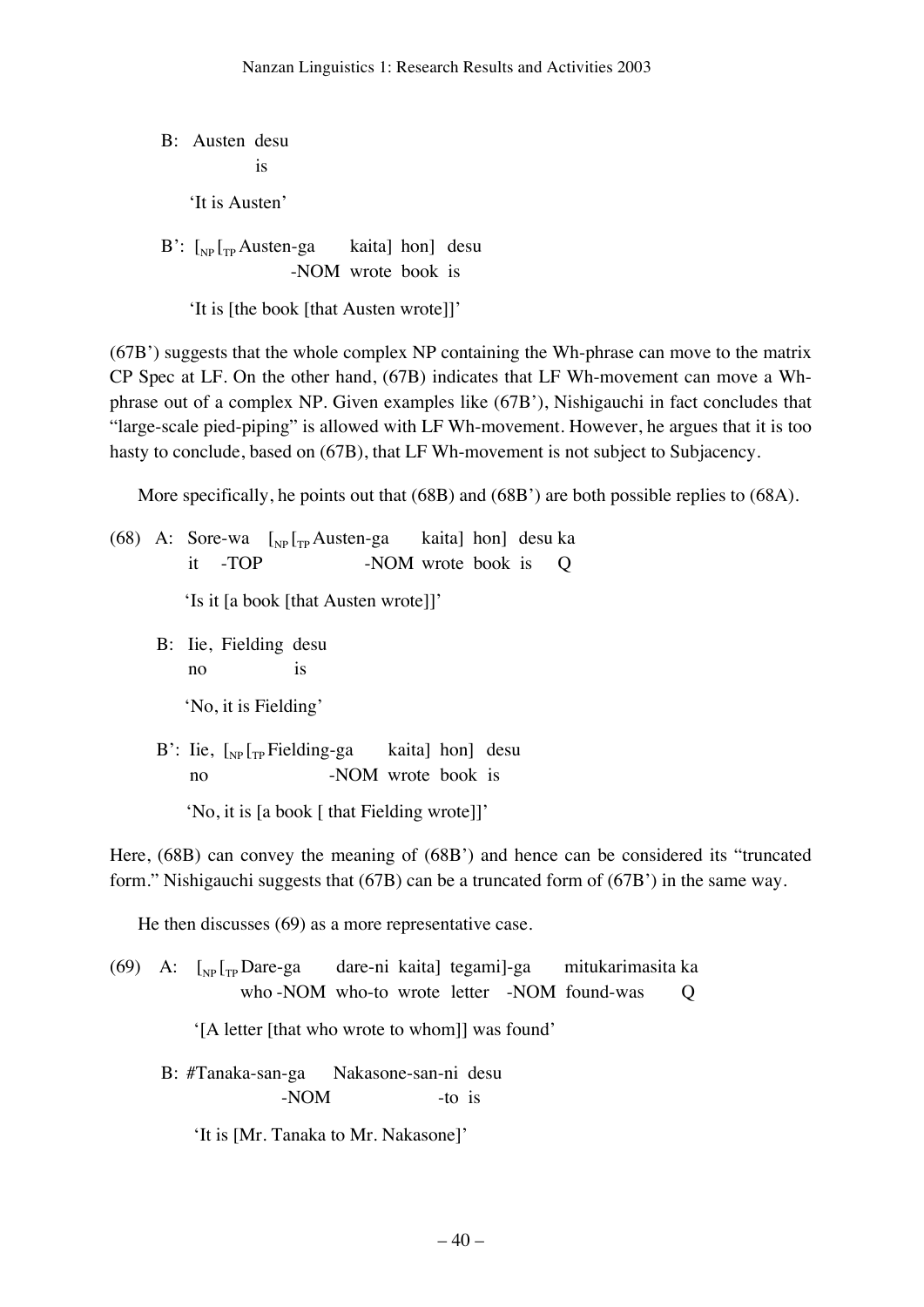B: Austen desu is 'It is Austen'  $B'$ :  $\lceil_{NP} \rceil_{TP}$  Austen-ga kaita] hon] desu

-NOM wrote book is

'It is [the book [that Austen wrote]]'

(67B') suggests that the whole complex NP containing the Wh-phrase can move to the matrix CP Spec at LF. On the other hand, (67B) indicates that LF Wh-movement can move a Whphrase out of a complex NP. Given examples like (67B'), Nishigauchi in fact concludes that "large-scale pied-piping" is allowed with LF Wh-movement. However, he argues that it is too hasty to conclude, based on (67B), that LF Wh-movement is not subject to Subjacency.

More specifically, he points out that (68B) and (68B') are both possible replies to (68A).

(68) A: Sore-wa  $\begin{bmatrix} \n\text{Np} \end{bmatrix}$ <sub>rp</sub> Austen-ga kaita] hon] desu ka it -TOP -NOM wrote book is Q 'Is it [a book [that Austen wrote]]'

> B: Iie, Fielding desu no is

> > 'No, it is Fielding'

B': Iie,  $\left[\int_{NP} \left[{\rm Tr} \right]$  Fielding-ga kaita] hon] desu no -NOM wrote book is

'No, it is [a book [ that Fielding wrote]]'

Here, (68B) can convey the meaning of (68B') and hence can be considered its "truncated form." Nishigauchi suggests that (67B) can be a truncated form of (67B') in the same way.

He then discusses (69) as a more representative case.

 $(69)$  A:  $\int_{NP} \int_{TP}$  Dare-ga dare-ni kaita] tegami]-ga mitukarimasita ka who -NOM who-to wrote letter -NOM found-was Q

'[A letter [that who wrote to whom]] was found'

 B: #Tanaka-san-ga Nakasone-san-ni desu -NOM -to is

'It is [Mr. Tanaka to Mr. Nakasone]'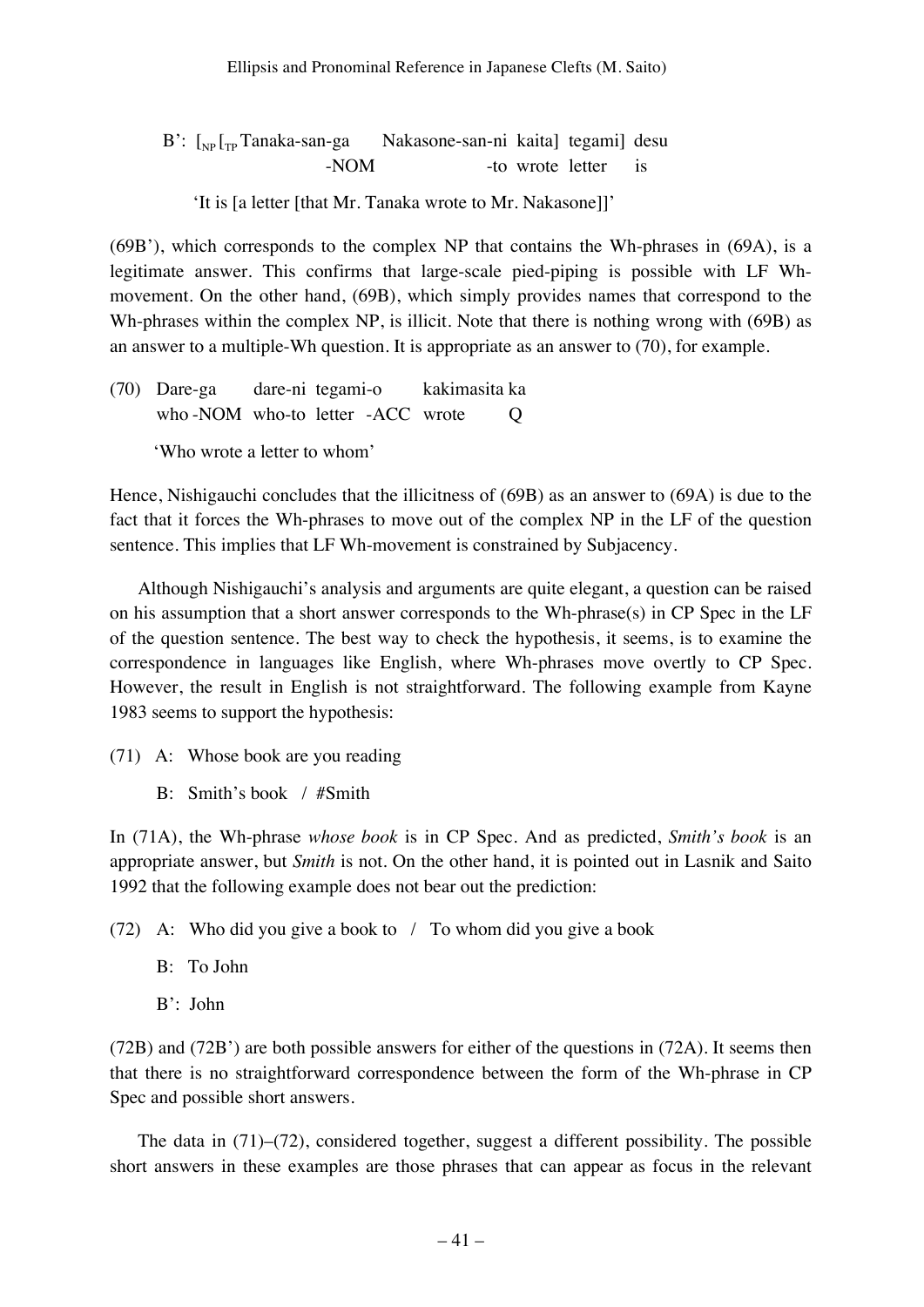$B'$ :  $\lceil_{NP} \lceil_{TP} \text{Tanaka-san-ga} \rceil$  Nakasone-san-ni kaita] tegami] desu -NOM -to wrote letter is

'It is [a letter [that Mr. Tanaka wrote to Mr. Nakasone]]'

(69B'), which corresponds to the complex NP that contains the Wh-phrases in (69A), is a legitimate answer. This confirms that large-scale pied-piping is possible with LF Whmovement. On the other hand, (69B), which simply provides names that correspond to the Wh-phrases within the complex NP, is illicit. Note that there is nothing wrong with (69B) as an answer to a multiple-Wh question. It is appropriate as an answer to (70), for example.

(70) Dare-ga dare-ni tegami-o kakimasita ka who -NOM who-to letter -ACC wrote Q 'Who wrote a letter to whom'

Hence, Nishigauchi concludes that the illicitness of (69B) as an answer to (69A) is due to the fact that it forces the Wh-phrases to move out of the complex NP in the LF of the question sentence. This implies that LF Wh-movement is constrained by Subjacency.

Although Nishigauchi's analysis and arguments are quite elegant, a question can be raised on his assumption that a short answer corresponds to the Wh-phrase(s) in CP Spec in the LF of the question sentence. The best way to check the hypothesis, it seems, is to examine the correspondence in languages like English, where Wh-phrases move overtly to CP Spec. However, the result in English is not straightforward. The following example from Kayne 1983 seems to support the hypothesis:

- (71) A: Whose book are you reading
	- B: Smith's book / #Smith

In (71A), the Wh-phrase *whose book* is in CP Spec. And as predicted, *Smith's book* is an appropriate answer, but *Smith* is not. On the other hand, it is pointed out in Lasnik and Saito 1992 that the following example does not bear out the prediction:

(72) A: Who did you give a book to / To whom did you give a book

- B: To John
- B': John

(72B) and (72B') are both possible answers for either of the questions in (72A). It seems then that there is no straightforward correspondence between the form of the Wh-phrase in CP Spec and possible short answers.

The data in (71)–(72), considered together, suggest a different possibility. The possible short answers in these examples are those phrases that can appear as focus in the relevant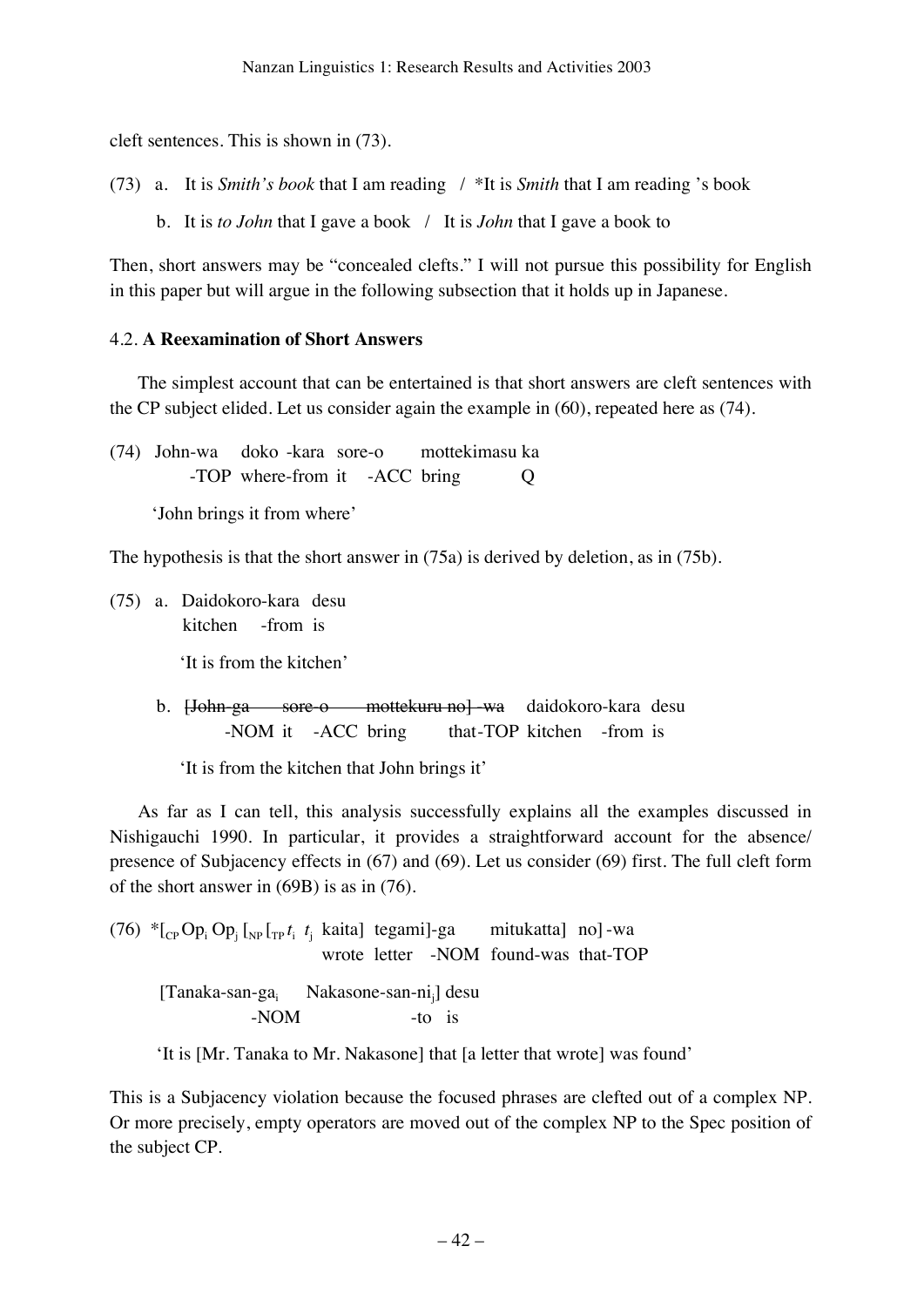cleft sentences. This is shown in (73).

(73) a. It is *Smith's book* that I am reading / \*It is *Smith* that I am reading 's book

b. It is *to John* that I gave a book / It is *John* that I gave a book to

Then, short answers may be "concealed clefts." I will not pursue this possibility for English in this paper but will argue in the following subsection that it holds up in Japanese.

### 4.2. **A Reexamination of Short Answers**

The simplest account that can be entertained is that short answers are cleft sentences with the CP subject elided. Let us consider again the example in (60), repeated here as (74).

(74) John-wa doko -kara sore-o mottekimasu ka -TOP where-from it -ACC bring Q

'John brings it from where'

The hypothesis is that the short answer in (75a) is derived by deletion, as in (75b).

(75) a. Daidokoro-kara desu kitchen -from is 'It is from the kitchen'

> b. <del>[John-ga sore-o mottekuru no] wa</del> daidokoro-kara desu -NOM it -ACC bring that-TOP kitchen -from is

'It is from the kitchen that John brings it'

As far as I can tell, this analysis successfully explains all the examples discussed in Nishigauchi 1990. In particular, it provides a straightforward account for the absence/ presence of Subjacency effects in (67) and (69). Let us consider (69) first. The full cleft form of the short answer in (69B) is as in (76).

(76) 
$$
{}^*[{}_{CP}Op_i Op_j [{}_{NP}I_{TP}t_i t_j \text{ kaital} \text{ tegami}] - ga \text{ mitukattal} \text{ no}] - wa \text{ wrote letter -NOM found-was that-TOP} \newline
$$
\n[Tanaka-san-ga<sub>i</sub> Nakasone-san-ni<sub>j</sub>] desu -NOM -to is

'It is [Mr. Tanaka to Mr. Nakasone] that [a letter that wrote] was found'

This is a Subjacency violation because the focused phrases are clefted out of a complex NP. Or more precisely, empty operators are moved out of the complex NP to the Spec position of the subject CP.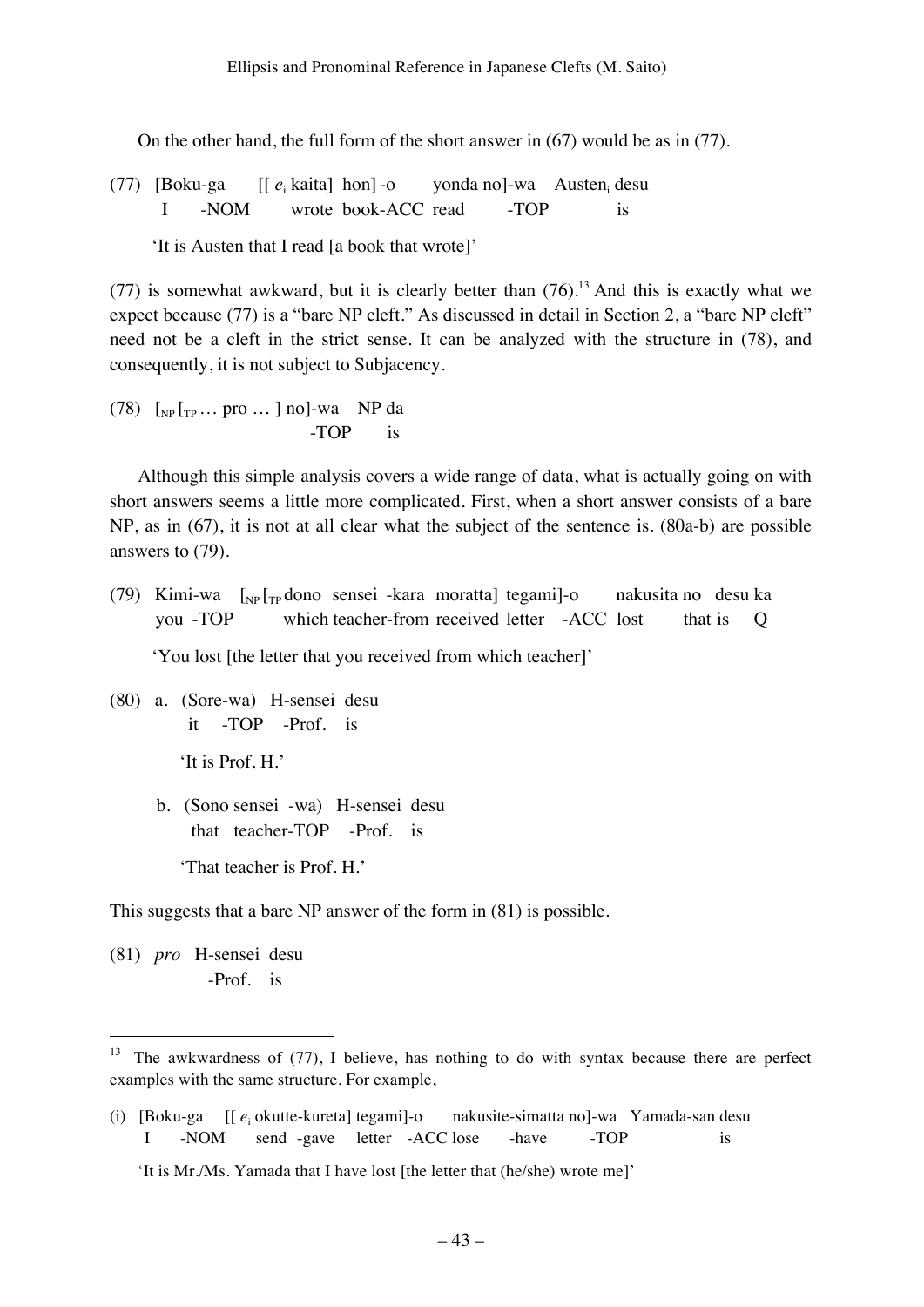On the other hand, the full form of the short answer in (67) would be as in (77).

(77) [Boku-ga [[  $e_i$  kaita] hon]-o yonda no]-wa Austen<sub>i</sub> desu I -NOM wrote book-ACC read -TOP is

'It is Austen that I read [a book that wrote]'

(77) is somewhat awkward, but it is clearly better than  $(76)$ .<sup>13</sup> And this is exactly what we expect because (77) is a "bare NP cleft." As discussed in detail in Section 2, a "bare NP cleft" need not be a cleft in the strict sense. It can be analyzed with the structure in (78), and consequently, it is not subject to Subjacency.

 $(78)$   $\lceil_{\text{NP}} \rceil_{\text{TP}} \dots \text{ pro } \dots \rceil$  no]-wa NP da -TOP is

Although this simple analysis covers a wide range of data, what is actually going on with short answers seems a little more complicated. First, when a short answer consists of a bare NP, as in (67), it is not at all clear what the subject of the sentence is. (80a-b) are possible answers to (79).

(79) Kimi-wa  $\left[\int_{NP}\right]_{TP}$ dono sensei -kara moratta] tegami]-o nakusita no desu ka you -TOP which teacher-from received letter -ACC lost that is Q

'You lost [the letter that you received from which teacher]'

(80) a. (Sore-wa) H-sensei desu it -TOP -Prof. is

'It is Prof. H.'

 b. (Sono sensei -wa) H-sensei desu that teacher-TOP -Prof. is

'That teacher is Prof. H.'

This suggests that a bare NP answer of the form in (81) is possible.

(81) *pro* H-sensei desu -Prof. is

The awkwardness of (77), I believe, has nothing to do with syntax because there are perfect examples with the same structure. For example,

<sup>(</sup>i) [Boku-ga [[  $e_i$  okutte-kureta] tegami]-o nakusite-simatta no]-wa Yamada-san desu I -NOM send -gave letter -ACC lose -have -TOP is

<sup>&#</sup>x27;It is Mr./Ms. Yamada that I have lost [the letter that (he/she) wrote me]'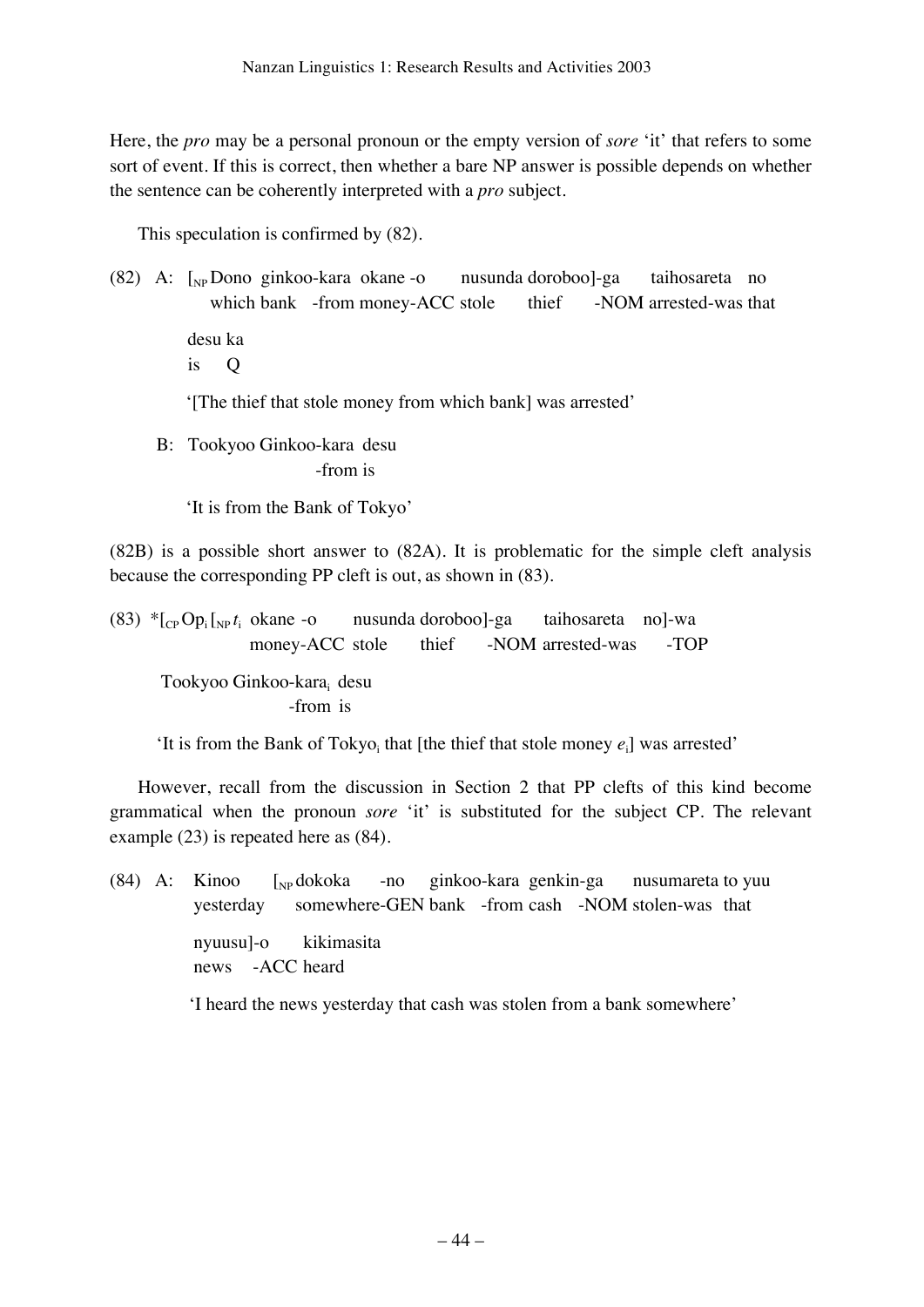Here, the *pro* may be a personal pronoun or the empty version of *sore* 'it' that refers to some sort of event. If this is correct, then whether a bare NP answer is possible depends on whether the sentence can be coherently interpreted with a *pro* subject.

This speculation is confirmed by (82).

(82) A: [NP Dono ginkoo-kara okane -o nusunda doroboo]-ga taihosareta no which bank -from money-ACC stole thief -NOM arrested-was that desu ka

is Q

'[The thief that stole money from which bank] was arrested'

 B: Tookyoo Ginkoo-kara desu -from is

'It is from the Bank of Tokyo'

(82B) is a possible short answer to (82A). It is problematic for the simple cleft analysis because the corresponding PP cleft is out, as shown in (83).

(83)  $*_{C_P}Op_i_{N_P}t_i$  okane -o nusunda doroboo]-ga taihosareta no]-wa money-ACC stole thief -NOM arrested-was -TOP

Tookyoo Ginkoo-kara; desu -from is

'It is from the Bank of Tokyo<sub>i</sub> that [the thief that stole money  $e_i$ ] was arrested'

However, recall from the discussion in Section 2 that PP clefts of this kind become grammatical when the pronoun *sore* 'it' is substituted for the subject CP. The relevant example (23) is repeated here as (84).

(84) A: Kinoo  $\int_{NP}$  dokoka -no ginkoo-kara genkin-ga nusumareta to yuu yesterday somewhere-GEN bank -from cash -NOM stolen-was that nyuusu]-o kikimasita news -ACC heard

'I heard the news yesterday that cash was stolen from a bank somewhere'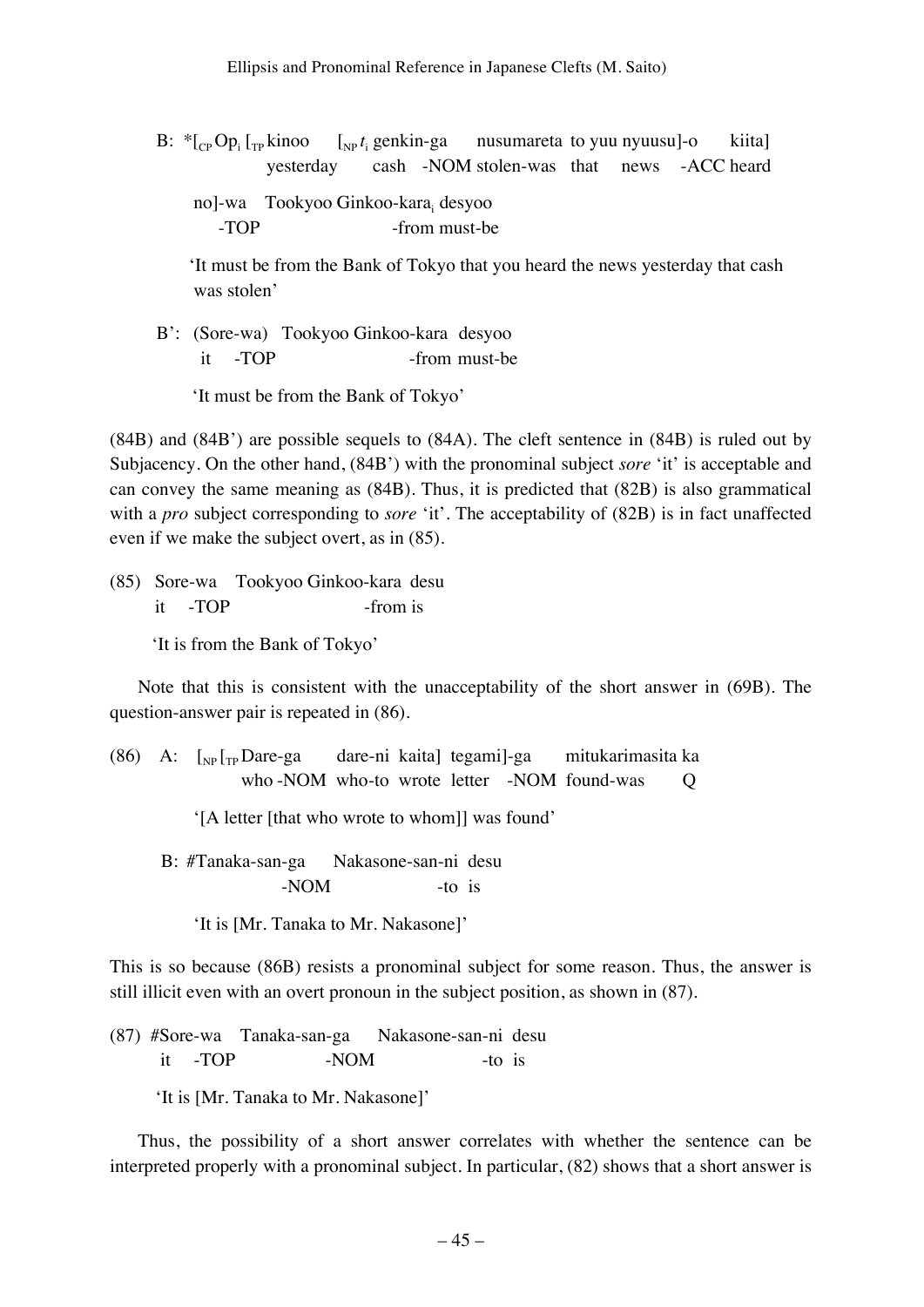- B:  ${}^*$ [<sub>CP</sub> Op<sub>i</sub> [<sub>TP</sub> kinoo [<sub>NP</sub> t<sub>i</sub>  $\begin{bmatrix} \n\psi_1 & \psi_2 & \psi_3 \\
\psi_4 & \psi_5 & \psi_6\n\end{bmatrix}$  (sep kine pusumareta to yuu nyuusu]-o kiita] yesterday cash -NOM stolen-was that news -ACC heard
	- no]-wa Tookyoo Ginkoo-kara<sub>i</sub> desyoo -TOP -from must-be

 'It must be from the Bank of Tokyo that you heard the news yesterday that cash was stolen'

 B': (Sore-wa) Tookyoo Ginkoo-kara desyoo it -TOP -from must-be

'It must be from the Bank of Tokyo'

(84B) and (84B') are possible sequels to (84A). The cleft sentence in (84B) is ruled out by Subjacency. On the other hand, (84B') with the pronominal subject *sore* 'it' is acceptable and can convey the same meaning as (84B). Thus, it is predicted that (82B) is also grammatical with a *pro* subject corresponding to *sore* 'it'. The acceptability of (82B) is in fact unaffected even if we make the subject overt, as in (85).

(85) Sore-wa Tookyoo Ginkoo-kara desu it -TOP -from is

'It is from the Bank of Tokyo'

Note that this is consistent with the unacceptability of the short answer in (69B). The question-answer pair is repeated in (86).

(86) A:  $\lceil \frac{N}{N} \rceil$ <sub>TP</sub> Dare-ga dare-ni kaita] tegami]-ga mitukarimasita ka who -NOM who-to wrote letter -NOM found-was Q

'[A letter [that who wrote to whom]] was found'

 B: #Tanaka-san-ga Nakasone-san-ni desu -NOM -to is

'It is [Mr. Tanaka to Mr. Nakasone]'

This is so because (86B) resists a pronominal subject for some reason. Thus, the answer is still illicit even with an overt pronoun in the subject position, as shown in (87).

(87) #Sore-wa Tanaka-san-ga Nakasone-san-ni desu it -TOP -NOM -to is

'It is [Mr. Tanaka to Mr. Nakasone]'

Thus, the possibility of a short answer correlates with whether the sentence can be interpreted properly with a pronominal subject. In particular, (82) shows that a short answer is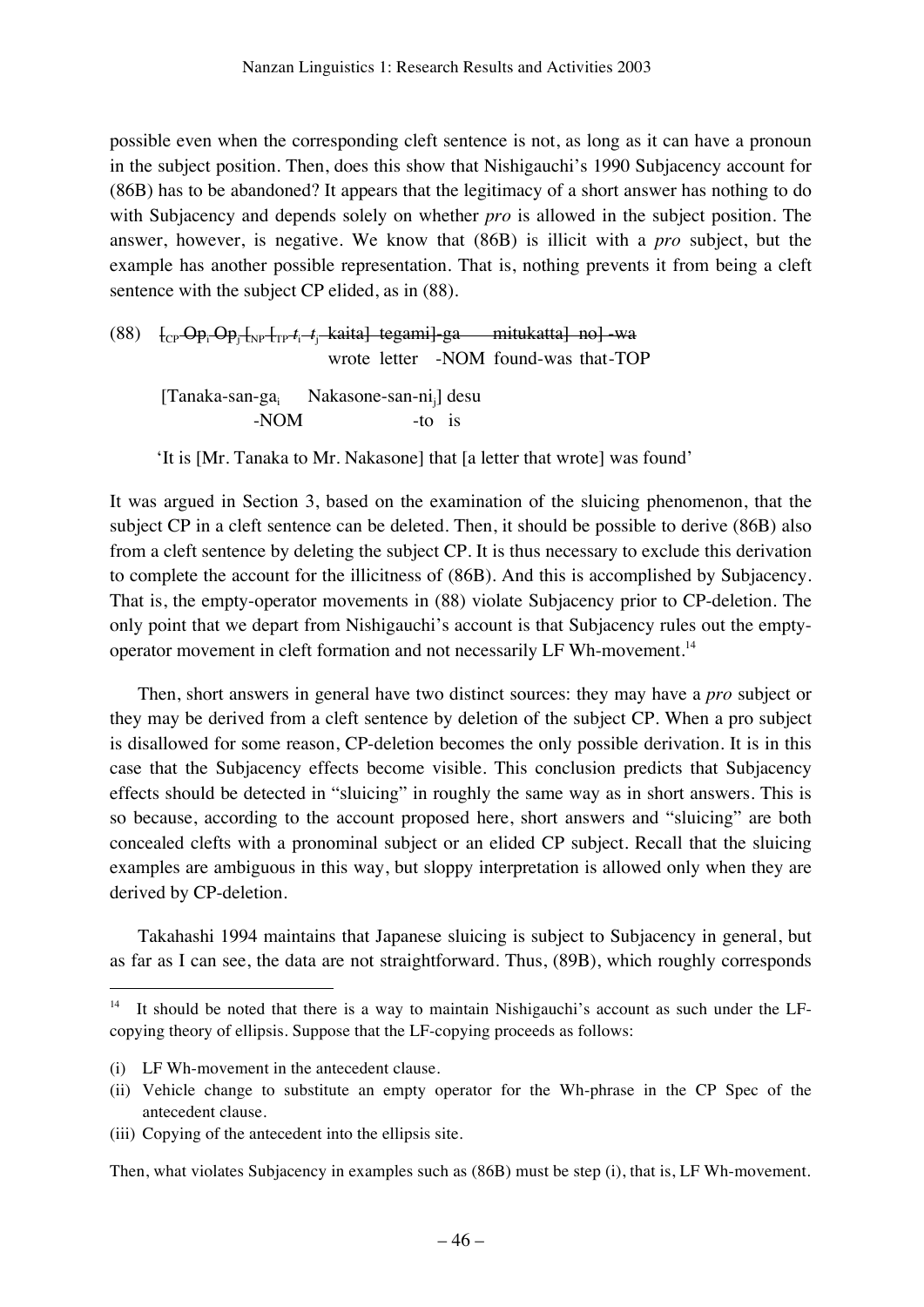possible even when the corresponding cleft sentence is not, as long as it can have a pronoun in the subject position. Then, does this show that Nishigauchi's 1990 Subjacency account for (86B) has to be abandoned? It appears that the legitimacy of a short answer has nothing to do with Subjacency and depends solely on whether *pro* is allowed in the subject position. The answer, however, is negative. We know that (86B) is illicit with a *pro* subject, but the example has another possible representation. That is, nothing prevents it from being a cleft sentence with the subject CP elided, as in (88).

(88) [<sub>CP</sub>-Op<sub>i</sub>-Op<sub>j</sub>-[<sub>NP</sub>-[<sub>TP</sub>- $t_{\rm i}$ -- $t_{\rm j}$ -kaita] tegami]-ga — mitukatta]-no]-wa wrote letter -NOM found-was that-TOP [Tanaka-san-ga<sub>i</sub> Nakasone-san-ni<sub>j</sub>] desu -NOM  $-$ to is

'It is [Mr. Tanaka to Mr. Nakasone] that [a letter that wrote] was found'

It was argued in Section 3, based on the examination of the sluicing phenomenon, that the subject CP in a cleft sentence can be deleted. Then, it should be possible to derive (86B) also from a cleft sentence by deleting the subject CP. It is thus necessary to exclude this derivation to complete the account for the illicitness of (86B). And this is accomplished by Subjacency. That is, the empty-operator movements in (88) violate Subjacency prior to CP-deletion. The only point that we depart from Nishigauchi's account is that Subjacency rules out the emptyoperator movement in cleft formation and not necessarily LF Wh-movement.14

Then, short answers in general have two distinct sources: they may have a *pro* subject or they may be derived from a cleft sentence by deletion of the subject CP. When a pro subject is disallowed for some reason, CP-deletion becomes the only possible derivation. It is in this case that the Subjacency effects become visible. This conclusion predicts that Subjacency effects should be detected in "sluicing" in roughly the same way as in short answers. This is so because, according to the account proposed here, short answers and "sluicing" are both concealed clefts with a pronominal subject or an elided CP subject. Recall that the sluicing examples are ambiguous in this way, but sloppy interpretation is allowed only when they are derived by CP-deletion.

Takahashi 1994 maintains that Japanese sluicing is subject to Subjacency in general, but as far as I can see, the data are not straightforward. Thus, (89B), which roughly corresponds

Then, what violates Subjacency in examples such as (86B) must be step (i), that is, LF Wh-movement.

 <sup>14</sup> It should be noted that there is a way to maintain Nishigauchi's account as such under the LFcopying theory of ellipsis. Suppose that the LF-copying proceeds as follows:

<sup>(</sup>i) LF Wh-movement in the antecedent clause.

<sup>(</sup>ii) Vehicle change to substitute an empty operator for the Wh-phrase in the CP Spec of the antecedent clause.

<sup>(</sup>iii) Copying of the antecedent into the ellipsis site.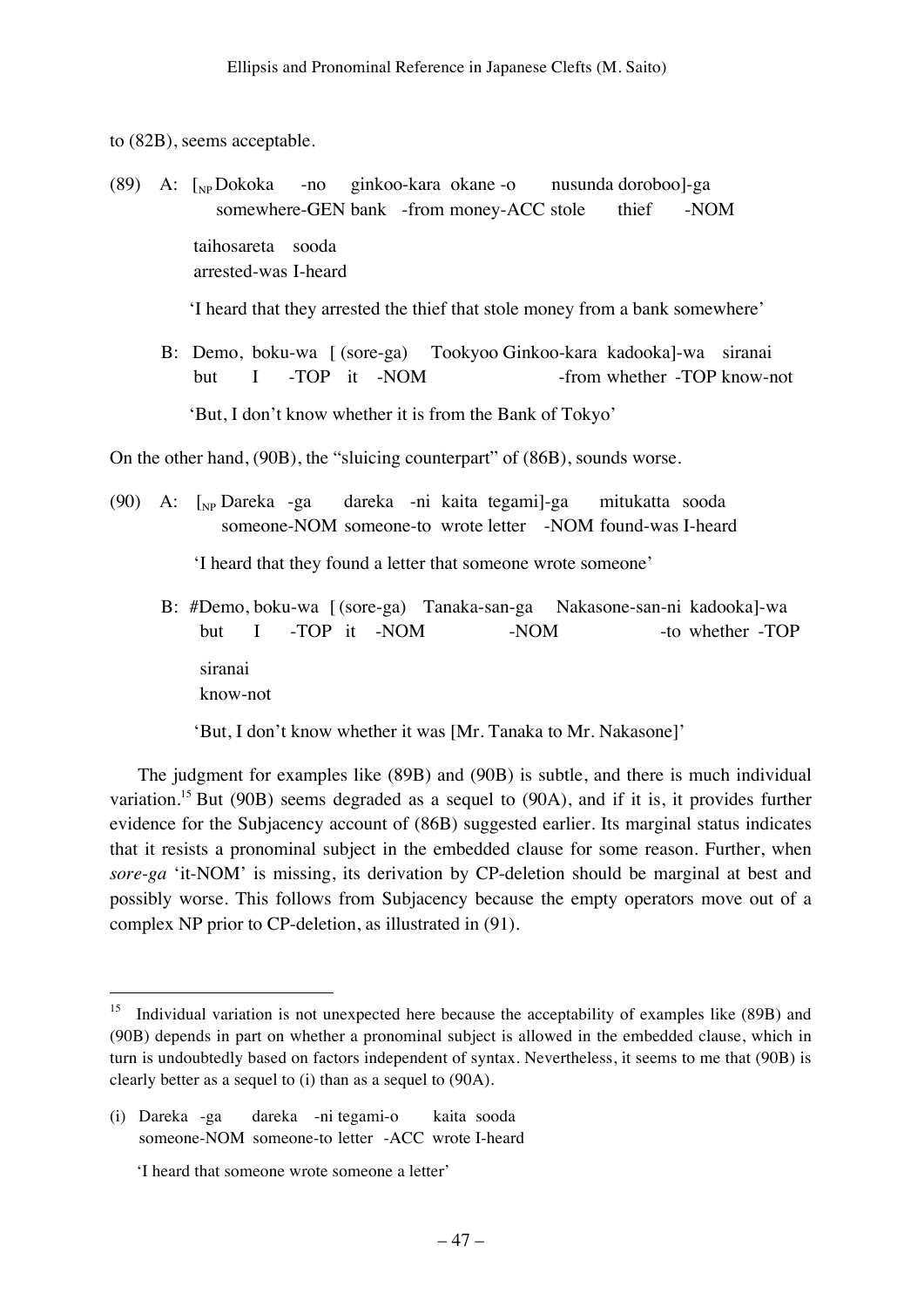to (82B), seems acceptable.

(89) A:  $\lceil_{NP}$ Dokoka -no ginkoo-kara okane -o nusunda doroboo]-ga somewhere-GEN bank -from money-ACC stole thief -NOM taihosareta sooda arrested-was I-heard

'I heard that they arrested the thief that stole money from a bank somewhere'

 B: Demo, boku-wa [ (sore-ga) Tookyoo Ginkoo-kara kadooka]-wa siranai but I -TOP it -NOM -from whether -TOP know-not 'But, I don't know whether it is from the Bank of Tokyo'

On the other hand, (90B), the "sluicing counterpart" of (86B), sounds worse.

(90) A: [NP Dareka -ga dareka -ni kaita tegami]-ga mitukatta sooda someone-NOM someone-to wrote letter -NOM found-was I-heard

'I heard that they found a letter that someone wrote someone'

 B: #Demo, boku-wa [ (sore-ga) Tanaka-san-ga Nakasone-san-ni kadooka]-wa but I -TOP it -NOM -NOM -NOM -to whether -TOP siranai

know-not

'But, I don't know whether it was [Mr. Tanaka to Mr. Nakasone]'

The judgment for examples like (89B) and (90B) is subtle, and there is much individual variation.<sup>15</sup> But (90B) seems degraded as a sequel to (90A), and if it is, it provides further evidence for the Subjacency account of (86B) suggested earlier. Its marginal status indicates that it resists a pronominal subject in the embedded clause for some reason. Further, when *sore-ga* 'it-NOM' is missing, its derivation by CP-deletion should be marginal at best and possibly worse. This follows from Subjacency because the empty operators move out of a complex NP prior to CP-deletion, as illustrated in (91).

<sup>&</sup>lt;sup>15</sup> Individual variation is not unexpected here because the acceptability of examples like (89B) and (90B) depends in part on whether a pronominal subject is allowed in the embedded clause, which in turn is undoubtedly based on factors independent of syntax. Nevertheless, it seems to me that (90B) is clearly better as a sequel to (i) than as a sequel to (90A).

<sup>(</sup>i) Dareka -ga dareka -ni tegami-o kaita sooda someone-NOM someone-to letter -ACC wrote I-heard

 <sup>&#</sup>x27;I heard that someone wrote someone a letter'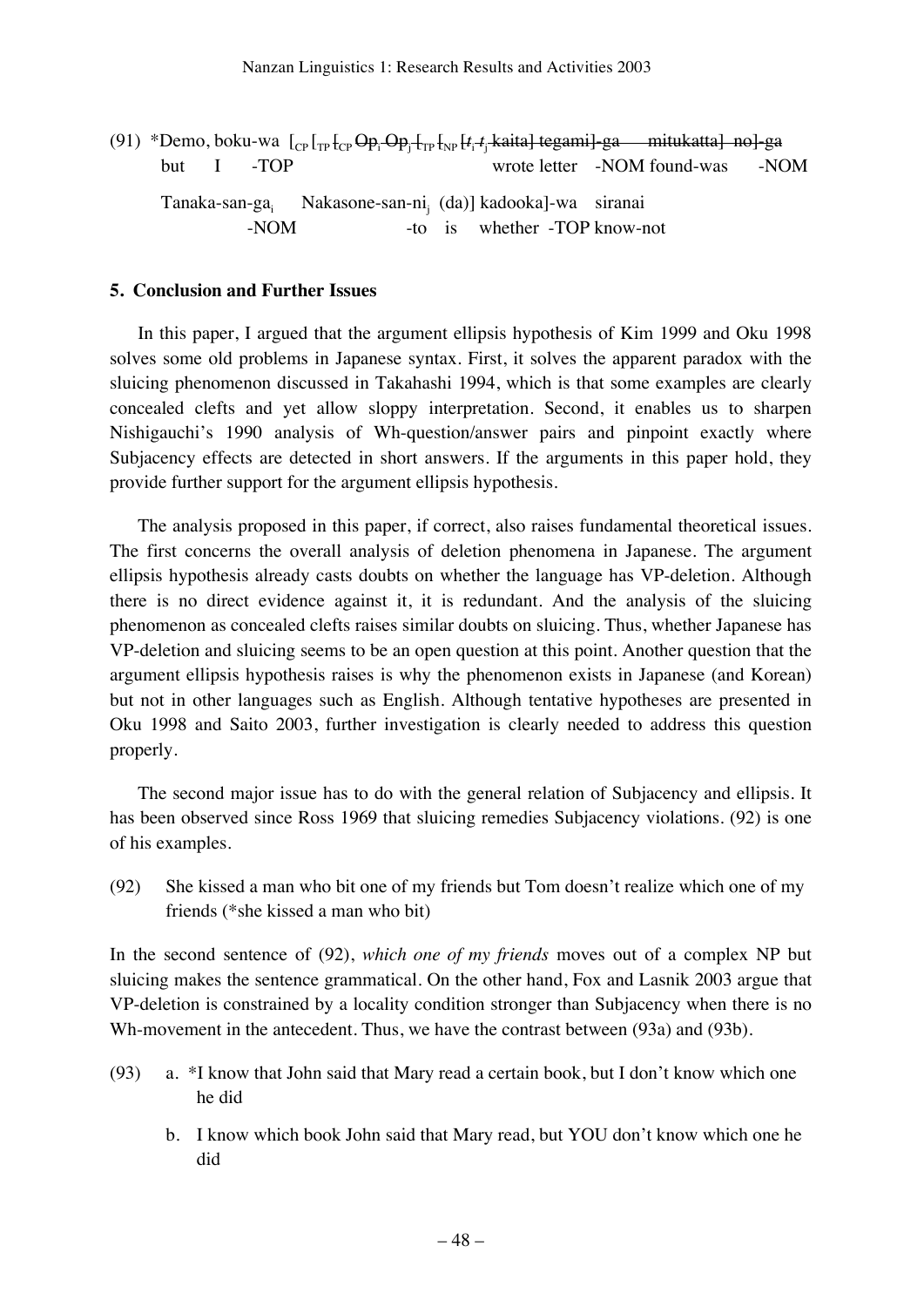|  |                          | (91) *Demo, boku-wa $\left[_{\text{CP}}\right]_{\text{TP}}$ $\left[_{\text{CP}}\right]_{\text{CP}}$ $\Theta_{P_i}$ $\Theta_{P_i}$ $\left[_{\text{TP}}\right]_{\text{FP}}$ $\left[_{t_i}$ $t_i$ kaita] tegami] ga mitukatta] no] ga |                                  |  |  |
|--|--------------------------|------------------------------------------------------------------------------------------------------------------------------------------------------------------------------------------------------------------------------------|----------------------------------|--|--|
|  | $but \quad I \quad -TOP$ |                                                                                                                                                                                                                                    | wrote letter -NOM found-was -NOM |  |  |
|  | $-NOM$                   | Tanaka-san-ga Nakasone-san-ni $(da)$ ] kadooka]-wa siranai                                                                                                                                                                         | -to is whether -TOP know-not     |  |  |

### **5. Conclusion and Further Issues**

In this paper, I argued that the argument ellipsis hypothesis of Kim 1999 and Oku 1998 solves some old problems in Japanese syntax. First, it solves the apparent paradox with the sluicing phenomenon discussed in Takahashi 1994, which is that some examples are clearly concealed clefts and yet allow sloppy interpretation. Second, it enables us to sharpen Nishigauchi's 1990 analysis of Wh-question/answer pairs and pinpoint exactly where Subjacency effects are detected in short answers. If the arguments in this paper hold, they provide further support for the argument ellipsis hypothesis.

The analysis proposed in this paper, if correct, also raises fundamental theoretical issues. The first concerns the overall analysis of deletion phenomena in Japanese. The argument ellipsis hypothesis already casts doubts on whether the language has VP-deletion. Although there is no direct evidence against it, it is redundant. And the analysis of the sluicing phenomenon as concealed clefts raises similar doubts on sluicing. Thus, whether Japanese has VP-deletion and sluicing seems to be an open question at this point. Another question that the argument ellipsis hypothesis raises is why the phenomenon exists in Japanese (and Korean) but not in other languages such as English. Although tentative hypotheses are presented in Oku 1998 and Saito 2003, further investigation is clearly needed to address this question properly.

The second major issue has to do with the general relation of Subjacency and ellipsis. It has been observed since Ross 1969 that sluicing remedies Subjacency violations. (92) is one of his examples.

(92) She kissed a man who bit one of my friends but Tom doesn't realize which one of my friends (\*she kissed a man who bit)

In the second sentence of (92), *which one of my friends* moves out of a complex NP but sluicing makes the sentence grammatical. On the other hand, Fox and Lasnik 2003 argue that VP-deletion is constrained by a locality condition stronger than Subjacency when there is no Wh-movement in the antecedent. Thus, we have the contrast between (93a) and (93b).

- (93) a. \*I know that John said that Mary read a certain book, but I don't know which one he did
	- b. I know which book John said that Mary read, but YOU don't know which one he did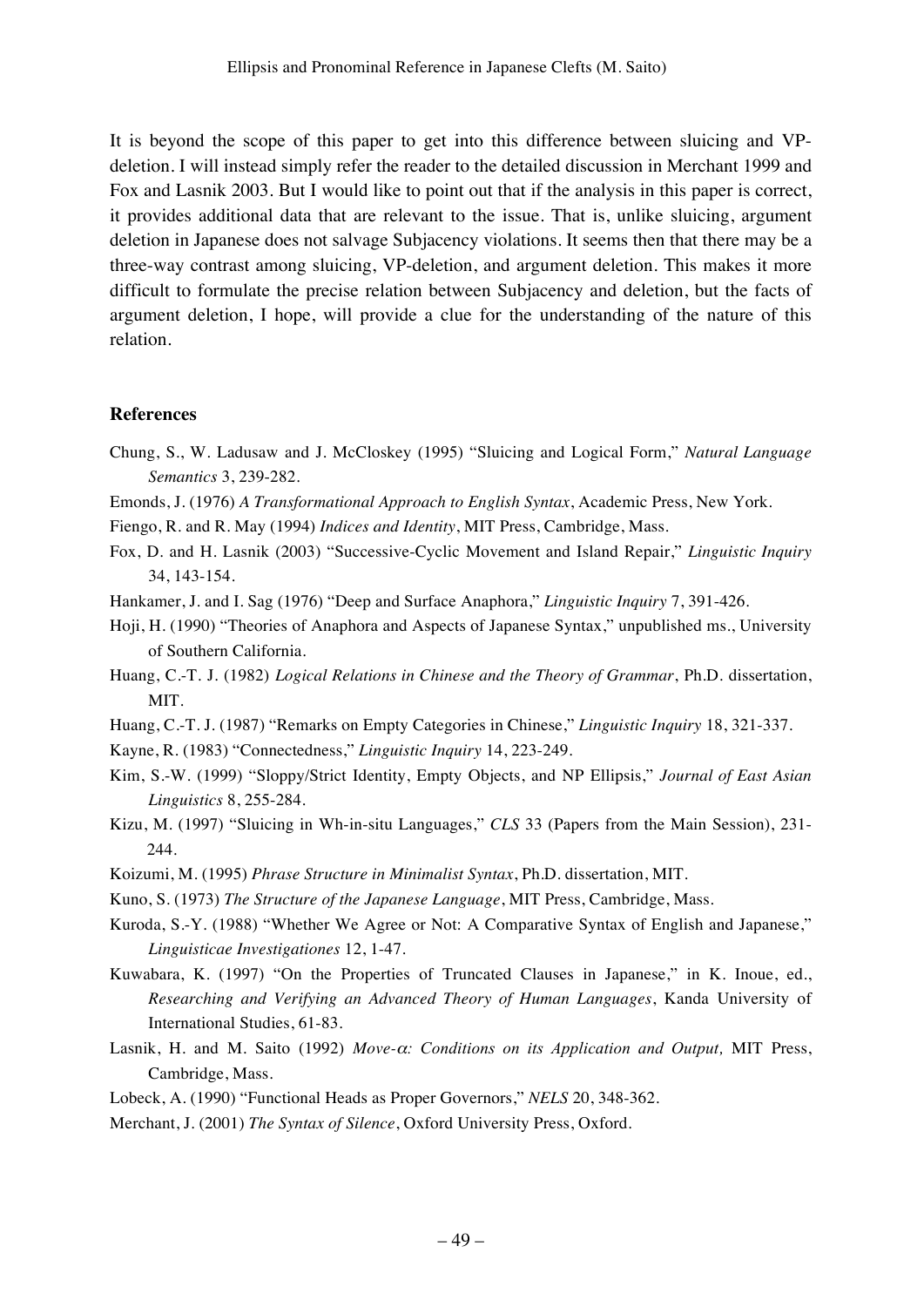It is beyond the scope of this paper to get into this difference between sluicing and VPdeletion. I will instead simply refer the reader to the detailed discussion in Merchant 1999 and Fox and Lasnik 2003. But I would like to point out that if the analysis in this paper is correct, it provides additional data that are relevant to the issue. That is, unlike sluicing, argument deletion in Japanese does not salvage Subjacency violations. It seems then that there may be a three-way contrast among sluicing, VP-deletion, and argument deletion. This makes it more difficult to formulate the precise relation between Subjacency and deletion, but the facts of argument deletion, I hope, will provide a clue for the understanding of the nature of this relation.

### **References**

- Chung, S., W. Ladusaw and J. McCloskey (1995) "Sluicing and Logical Form," *Natural Language Semantics* 3, 239-282.
- Emonds, J. (1976) *A Transformational Approach to English Syntax*, Academic Press, New York.
- Fiengo, R. and R. May (1994) *Indices and Identity*, MIT Press, Cambridge, Mass.
- Fox, D. and H. Lasnik (2003) "Successive-Cyclic Movement and Island Repair," *Linguistic Inquiry* 34, 143-154.
- Hankamer, J. and I. Sag (1976) "Deep and Surface Anaphora," *Linguistic Inquiry* 7, 391-426.
- Hoji, H. (1990) "Theories of Anaphora and Aspects of Japanese Syntax," unpublished ms., University of Southern California.
- Huang, C.-T. J. (1982) *Logical Relations in Chinese and the Theory of Grammar*, Ph.D. dissertation, MIT.
- Huang, C.-T. J. (1987) "Remarks on Empty Categories in Chinese," *Linguistic Inquiry* 18, 321-337.
- Kayne, R. (1983) "Connectedness," *Linguistic Inquiry* 14, 223-249.
- Kim, S.-W. (1999) "Sloppy/Strict Identity, Empty Objects, and NP Ellipsis," *Journal of East Asian Linguistics* 8, 255-284.
- Kizu, M. (1997) "Sluicing in Wh-in-situ Languages," *CLS* 33 (Papers from the Main Session), 231- 244.
- Koizumi, M. (1995) *Phrase Structure in Minimalist Syntax*, Ph.D. dissertation, MIT.
- Kuno, S. (1973) *The Structure of the Japanese Language*, MIT Press, Cambridge, Mass.
- Kuroda, S.-Y. (1988) "Whether We Agree or Not: A Comparative Syntax of English and Japanese," *Linguisticae Investigationes* 12, 1-47.
- Kuwabara, K. (1997) "On the Properties of Truncated Clauses in Japanese," in K. Inoue, ed., *Researching and Verifying an Advanced Theory of Human Languages*, Kanda University of International Studies, 61-83.
- Lasnik, H. and M. Saito (1992) *Move-*α*: Conditions on its Application and Output,* MIT Press, Cambridge, Mass.
- Lobeck, A. (1990) "Functional Heads as Proper Governors," *NELS* 20, 348-362.
- Merchant, J. (2001) *The Syntax of Silence*, Oxford University Press, Oxford.